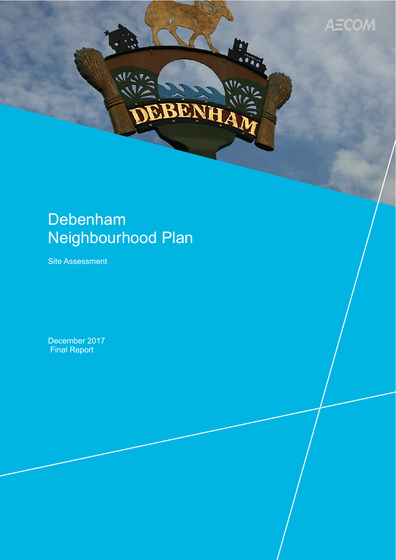# Debenham Neighbourhood Plan

 $N\sqrt{27}$ 

EBENH

 $\mathbf{v}$ 

Site Assessment

December 2017 Final Report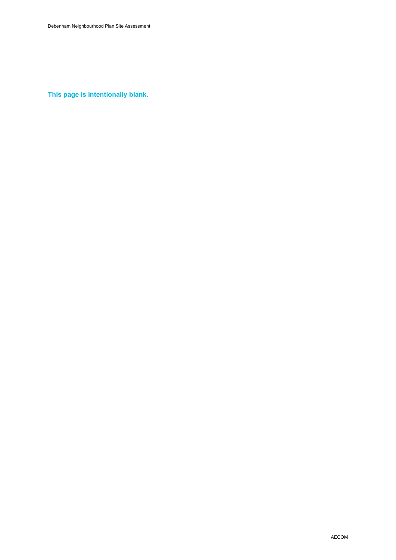**This page is intentionally blank.**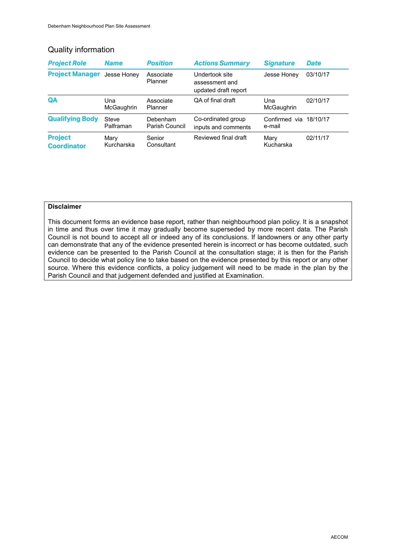# Quality information

| <b>Project Role</b>                  | <b>Name</b>        | <b>Position</b>            | <b>Actions Summary</b>                                   | <b>Signature</b>                 | <b>Date</b> |
|--------------------------------------|--------------------|----------------------------|----------------------------------------------------------|----------------------------------|-------------|
| <b>Project Manager</b> Jesse Honey   |                    | Associate<br>Planner       | Undertook site<br>assessment and<br>updated draft report | Jesse Honey                      | 03/10/17    |
| QA                                   | Una<br>McGaughrin  | Associate<br>Planner       | OA of final draft                                        | Una<br>McGaughrin                | 02/10/17    |
| <b>Qualifying Body</b>               | Steve<br>Palframan | Debenham<br>Parish Council | Co-ordinated group<br>inputs and comments                | Confirmed via 18/10/17<br>e-mail |             |
| <b>Project</b><br><b>Coordinator</b> | Mary<br>Kurcharska | Senior<br>Consultant       | Reviewed final draft                                     | Mary<br>Kucharska                | 02/11/17    |

#### **Disclaimer**

This document forms an evidence base report, rather than neighbourhood plan policy. It is a snapshot in time and thus over time it may gradually become superseded by more recent data. The Parish Council is not bound to accept all or indeed any of its conclusions. If landowners or any other party can demonstrate that any of the evidence presented herein is incorrect or has become outdated, such evidence can be presented to the Parish Council at the consultation stage; it is then for the Parish Council to decide what policy line to take based on the evidence presented by this report or any other source. Where this evidence conflicts, a policy judgement will need to be made in the plan by the Parish Council and that judgement defended and justified at Examination.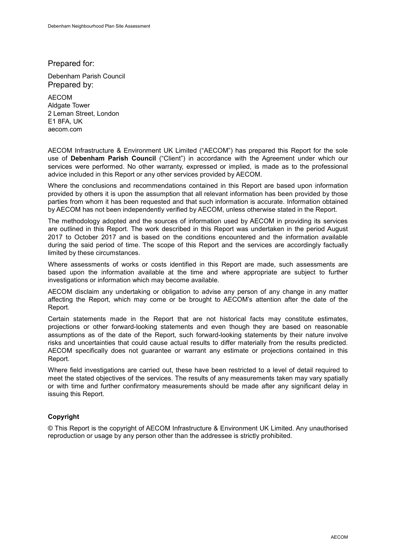Prepared for:

Debenham Parish Council Prepared by:

AECOM Aldgate Tower 2 Leman Street, London E1 8FA, UK aecom.com

AECOM Infrastructure & Environment UK Limited ("AECOM") has prepared this Report for the sole use of **Debenham Parish Council** ("Client") in accordance with the Agreement under which our services were performed. No other warranty, expressed or implied, is made as to the professional advice included in this Report or any other services provided by AECOM.

Where the conclusions and recommendations contained in this Report are based upon information provided by others it is upon the assumption that all relevant information has been provided by those parties from whom it has been requested and that such information is accurate. Information obtained by AECOM has not been independently verified by AECOM, unless otherwise stated in the Report.

The methodology adopted and the sources of information used by AECOM in providing its services are outlined in this Report. The work described in this Report was undertaken in the period August 2017 to October 2017 and is based on the conditions encountered and the information available during the said period of time. The scope of this Report and the services are accordingly factually limited by these circumstances.

Where assessments of works or costs identified in this Report are made, such assessments are based upon the information available at the time and where appropriate are subject to further investigations or information which may become available.

AECOM disclaim any undertaking or obligation to advise any person of any change in any matter affecting the Report, which may come or be brought to AECOM's attention after the date of the Report.

Certain statements made in the Report that are not historical facts may constitute estimates, projections or other forward-looking statements and even though they are based on reasonable assumptions as of the date of the Report, such forward-looking statements by their nature involve risks and uncertainties that could cause actual results to differ materially from the results predicted. AECOM specifically does not guarantee or warrant any estimate or projections contained in this Report.

Where field investigations are carried out, these have been restricted to a level of detail required to meet the stated objectives of the services. The results of any measurements taken may vary spatially or with time and further confirmatory measurements should be made after any significant delay in issuing this Report.

#### **Copyright**

© This Report is the copyright of AECOM Infrastructure & Environment UK Limited. Any unauthorised reproduction or usage by any person other than the addressee is strictly prohibited.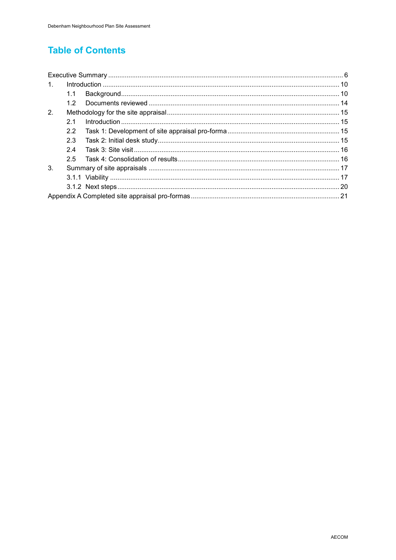# **Table of Contents**

| $1_{-}$        |     |  |
|----------------|-----|--|
|                | 1.1 |  |
|                |     |  |
| 2 <sub>1</sub> |     |  |
|                | 21  |  |
|                | 2.2 |  |
|                | 2.3 |  |
|                | 24  |  |
|                | 25  |  |
| 3.             |     |  |
|                |     |  |
|                |     |  |
|                |     |  |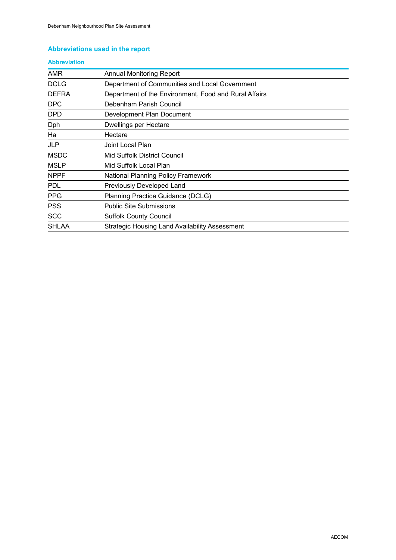#### **Abbreviations used in the report**

## **Abbreviation**

| AMR          | <b>Annual Monitoring Report</b>                       |
|--------------|-------------------------------------------------------|
| DCLG         | Department of Communities and Local Government        |
| <b>DEFRA</b> | Department of the Environment, Food and Rural Affairs |
| DPC          | Debenham Parish Council                               |
| <b>DPD</b>   | Development Plan Document                             |
| Dph          | Dwellings per Hectare                                 |
| Ha           | Hectare                                               |
| JLP          | Joint Local Plan                                      |
| MSDC         | <b>Mid Suffolk District Council</b>                   |
| <b>MSLP</b>  | Mid Suffolk Local Plan                                |
| <b>NPPF</b>  | <b>National Planning Policy Framework</b>             |
| <b>PDL</b>   | Previously Developed Land                             |
| <b>PPG</b>   | Planning Practice Guidance (DCLG)                     |
| <b>PSS</b>   | <b>Public Site Submissions</b>                        |
| <b>SCC</b>   | <b>Suffolk County Council</b>                         |
| <b>SHLAA</b> | <b>Strategic Housing Land Availability Assessment</b> |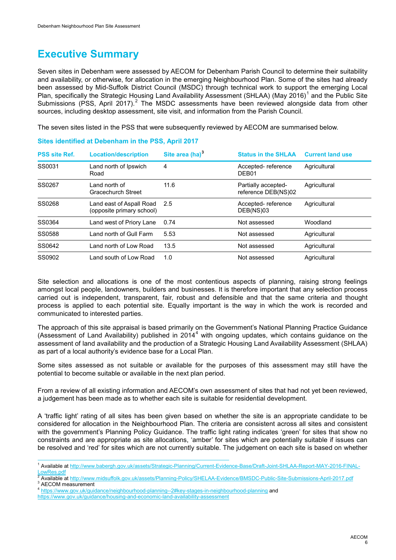# **Executive Summary**

Seven sites in Debenham were assessed by AECOM for Debenham Parish Council to determine their suitability and availability, or otherwise, for allocation in the emerging Neighbourhood Plan. Some of the sites had already been assessed by Mid-Suffolk District Council (MSDC) through technical work to support the emerging Local Plan, specifically the Strategic Housing Land Availability Assessment (SHLAA) (May 20[1](#page-6-0)6)<sup>1</sup> and the Public Site Submissions (PSS, April [2](#page-6-1)017).<sup>2</sup> The MSDC assessments have been reviewed alongside data from other sources, including desktop assessment, site visit, and information from the Parish Council.

The seven sites listed in the PSS that were subsequently reviewed by AECOM are summarised below.

| <b>PSS site Ref.</b> | <b>Location/description</b>                           | Site area (ha) <sup>3</sup> | <b>Status in the SHLAA</b>                 | <b>Current land use</b> |
|----------------------|-------------------------------------------------------|-----------------------------|--------------------------------------------|-------------------------|
| SS0031               | Land north of Ipswich<br>Road                         | 4                           | Accepted-reference<br>DEB <sub>01</sub>    | Agricultural            |
| SS0267               | I and north of<br><b>Gracechurch Street</b>           | 11.6                        | Partially accepted-<br>reference DEB(NS)02 | Agricultural            |
| SS0268               | Land east of Aspall Road<br>(opposite primary school) | 2.5                         | Accepted-reference<br>DEB(NS)03            | Agricultural            |
| SS0364               | Land west of Priory Lane                              | 0.74                        | Not assessed                               | Woodland                |
| SS0588               | Land north of Gull Farm                               | 5.53                        | Not assessed                               | Agricultural            |
| SS0642               | Land north of Low Road                                | 13.5                        | Not assessed                               | Agricultural            |
| SS0902               | Land south of Low Road                                | 1.0                         | Not assessed                               | Agricultural            |

#### **Sites identified at Debenham in the PSS, April 2017**

Site selection and allocations is one of the most contentious aspects of planning, raising strong feelings amongst local people, landowners, builders and businesses. It is therefore important that any selection process carried out is independent, transparent, fair, robust and defensible and that the same criteria and thought process is applied to each potential site. Equally important is the way in which the work is recorded and communicated to interested parties.

The approach of this site appraisal is based primarily on the Government's National Planning Practice Guidance (Assessment of Land Availability) published in  $2014<sup>4</sup>$  $2014<sup>4</sup>$  $2014<sup>4</sup>$  with ongoing updates, which contains guidance on the assessment of land availability and the production of a Strategic Housing Land Availability Assessment (SHLAA) as part of a local authority's evidence base for a Local Plan.

Some sites assessed as not suitable or available for the purposes of this assessment may still have the potential to become suitable or available in the next plan period.

From a review of all existing information and AECOM's own assessment of sites that had not yet been reviewed, a judgement has been made as to whether each site is suitable for residential development.

A 'traffic light' rating of all sites has been given based on whether the site is an appropriate candidate to be considered for allocation in the Neighbourhood Plan. The criteria are consistent across all sites and consistent with the government's Planning Policy Guidance. The traffic light rating indicates 'green' for sites that show no constraints and are appropriate as site allocations, 'amber' for sites which are potentially suitable if issues can be resolved and 'red' for sites which are not currently suitable. The judgement on each site is based on whether

<https://www.gov.uk/guidance/housing-and-economic-land-availability-assessment>

<span id="page-6-0"></span> <sup>1</sup> Available a[t http://www.babergh.gov.uk/assets/Strategic-Planning/Current-Evidence-Base/Draft-Joint-SHLAA-Report-MAY-2016-FINAL-](http://www.babergh.gov.uk/assets/Strategic-Planning/Current-Evidence-Base/Draft-Joint-SHLAA-Report-MAY-2016-FINAL-LowRes.pdf)[LowRes.pdf](http://www.babergh.gov.uk/assets/Strategic-Planning/Current-Evidence-Base/Draft-Joint-SHLAA-Report-MAY-2016-FINAL-LowRes.pdf)

<span id="page-6-1"></span><sup>&</sup>lt;sup>2</sup> Available a[t http://www.midsuffolk.gov.uk/assets/Planning-Policy/SHELAA-Evidence/BMSDC-Public-Site-Submissions-April-2017.pdf](http://www.midsuffolk.gov.uk/assets/Planning-Policy/SHELAA-Evidence/BMSDC-Public-Site-Submissions-April-2017.pdf) <sup>3</sup> AECOM measurement

<span id="page-6-3"></span><span id="page-6-2"></span><sup>4</sup> <https://www.gov.uk/guidance/neighbourhood-planning--2#key-stages-in-neighbourhood-planning> and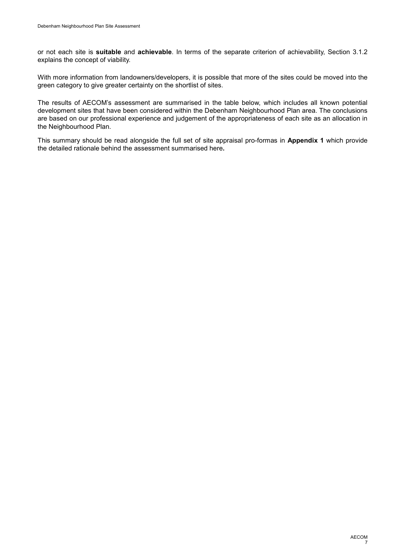or not each site is **suitable** and **achievable**. In terms of the separate criterion of achievability, Section 3.1.2 explains the concept of viability.

With more information from landowners/developers, it is possible that more of the sites could be moved into the green category to give greater certainty on the shortlist of sites.

The results of AECOM's assessment are summarised in the table below, which includes all known potential development sites that have been considered within the Debenham Neighbourhood Plan area. The conclusions are based on our professional experience and judgement of the appropriateness of each site as an allocation in the Neighbourhood Plan.

This summary should be read alongside the full set of site appraisal pro-formas in **Appendix 1** which provide the detailed rationale behind the assessment summarised here**.**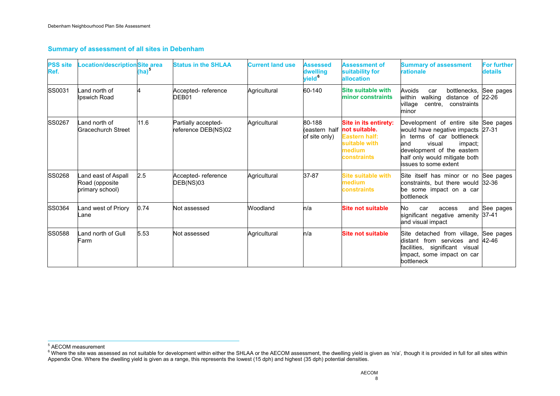#### <span id="page-8-1"></span><span id="page-8-0"></span>**Summary of assessment of all sites in Debenham**

| <b>PSS site</b><br>Ref. | Location/description Site area                           | $'$ ha) $'$ | <b>Status in the SHLAA</b>                 | <b>Current land use</b> | <b>Assessed</b><br>dwelling<br>yield <sup>6</sup> | <b>Assessment of</b><br>suitability for<br>allocation                                                                         | <b>Summary of assessment</b><br>rationale                                                                                                                                                                    | <b>For further</b><br>details |
|-------------------------|----------------------------------------------------------|-------------|--------------------------------------------|-------------------------|---------------------------------------------------|-------------------------------------------------------------------------------------------------------------------------------|--------------------------------------------------------------------------------------------------------------------------------------------------------------------------------------------------------------|-------------------------------|
| SS0031                  | Land north of<br><b>Ipswich Road</b>                     |             | Accepted-reference<br>DEB01                | Agricultural            | 60-140                                            | <b>Site suitable with</b><br>minor constraints                                                                                | Avoids<br>bottlenecks.<br>car<br>distance of 22-26<br>walking<br>within<br>village<br>centre,<br>constraints<br>minor                                                                                        | See pages                     |
| SS0267                  | Land north of<br>Gracechurch Street                      | 11.6        | Partially accepted-<br>reference DEB(NS)02 | Agricultural            | 80-188<br>of site only)                           | Site in its entirety:<br>(eastern half not suitable.<br><b>Eastern half:</b><br>suitable with<br>medium<br><b>constraints</b> | Development of entire site<br>would have negative impacts<br>in terms of car bottleneck<br>visual<br>land<br>impact:<br>development of the eastern<br>half only would mitigate both<br>issues to some extent | See pages<br>27-31            |
| SS0268                  | Land east of Aspall<br>Road (opposite<br>primary school) | 2.5         | Accepted-reference<br>DEB(NS)03            | Agricultural            | 37-87                                             | <b>Site suitable with</b><br>medium<br><b>constraints</b>                                                                     | Site itself has minor or no<br>constraints, but there would<br>be some impact on a car<br>bottleneck                                                                                                         | See pages<br>32-36            |
| SS0364                  | Land west of Priory<br>Lane                              | 0.74        | Not assessed                               | Woodland                | h/a                                               | <b>Site not suitable</b>                                                                                                      | No.<br>and<br>car<br>access<br>significant negative amenity 37-41<br>and visual impact                                                                                                                       | See pages                     |
| SS0588                  | Land north of Gull<br>Farm                               | 5.53        | Not assessed                               | Agricultural            | h/a                                               | Site not suitable                                                                                                             | Site detached from village,<br>distant from services and<br>significant<br>facilities,<br>visual<br>impact, some impact on car<br>bottleneck                                                                 | See pages<br>42-46            |

 <sup>5</sup> AECOM measurement

 $^6$  Where the site was assessed as not suitable for development within either the SHLAA or the AECOM assessment, the dwelling yield is given as 'n/a', though it is provided in full for all sites within Appendix One. Where the dwelling yield is given as a range, this represents the lowest (15 dph) and highest (35 dph) potential densities.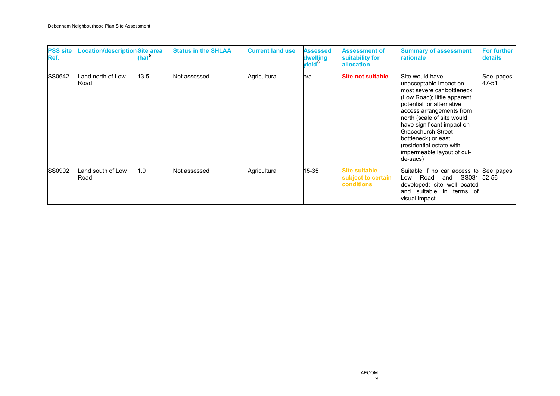| <b>PSS site</b><br>Ref. | <b>Location/descriptionSite area</b> | $(ha)^{5}$ | <b>Status in the SHLAA</b> | <b>Current land use</b> | <b>Assessed</b><br>dwelling<br>yield <sup>6</sup> | <b>Assessment of</b><br>suitability for<br>allocation           | <b>Summary of assessment</b><br><b>rationale</b>                                                                                                                                                                                                                                                                                                | For further<br>details |
|-------------------------|--------------------------------------|------------|----------------------------|-------------------------|---------------------------------------------------|-----------------------------------------------------------------|-------------------------------------------------------------------------------------------------------------------------------------------------------------------------------------------------------------------------------------------------------------------------------------------------------------------------------------------------|------------------------|
| <b>SS0642</b>           | and north of Low_<br>Road            | 13.5       | Not assessed               | Agricultural            | ln/a                                              | <b>Site not suitable</b>                                        | Site would have<br>unacceptable impact on<br>lmost severe car bottleneck<br>(Low Road); little apparent<br>potential for alternative<br>access arrangements from<br>north (scale of site would<br>have significant impact on<br>Gracechurch Street<br>bottleneck) or east<br>(residential estate with<br>impermeable layout of cul-<br>de-sacs) | See pages<br>47-51     |
| <b>SS0902</b>           | Land south of Low<br>Road            | 1.0        | Not assessed               | Agricultural            | 15-35                                             | <b>Site suitable</b><br>subject to certain<br><b>conditions</b> | Suitable if no car access to<br>SS031<br>Road<br>and<br>.ow<br>developed; site well-located<br>and suitable in terms of<br>visual impact                                                                                                                                                                                                        | See pages<br>52-56     |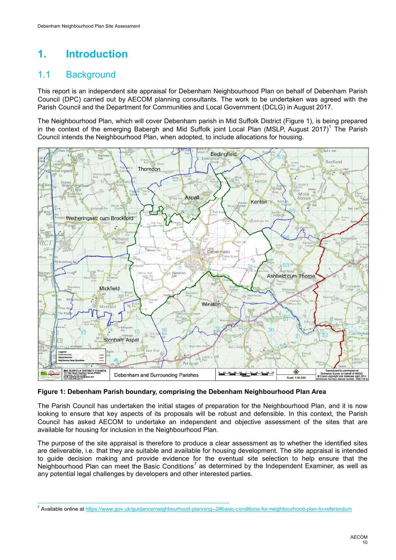# **1. Introduction**

# 1.1 Background

This report is an independent site appraisal for Debenham Neighbourhood Plan on behalf of Debenham Parish Council (DPC) carried out by AECOM planning consultants. The work to be undertaken was agreed with the Parish Council and the Department for Communities and Local Government (DCLG) in August 2017.

The Neighbourhood Plan, which will cover Debenham parish in Mid Suffolk District (Figure 1), is being prepared in the context of the emerging Babergh and Mid Suffolk joint Local Plan (MSLP, August 2017)<sup>1</sup> The Parish Council intends the Neighbourhood Plan, when adopted, to include allocations for housing.



**Figure 1: Debenham Parish boundary, comprising the Debenham Neighbourhood Plan Area**

The Parish Council has undertaken the initial stages of preparation for the Neighbourhood Plan, and it is now looking to ensure that key aspects of its proposals will be robust and defensible. In this context, the Parish Council has asked AECOM to undertake an independent and objective assessment of the sites that are available for housing for inclusion in the Neighbourhood Plan.

The purpose of the site appraisal is therefore to produce a clear assessment as to whether the identified sites are deliverable, i.e. that they are suitable and available for housing development. The site appraisal is intended to guide decision making and provide evidence for the eventual site selection to help ensure that the Neighbourhood Plan can meet the Basic Conditions<sup>[7](#page-10-0)</sup> as determined by the Independent Examiner, as well as any potential legal challenges by developers and other interested parties.

<span id="page-10-0"></span><sup>&</sup>lt;sup>7</sup> Available online at<https://www.gov.uk/guidance/neighbourhood-planning--2#basic-conditions-for-neighbourhood-plan-to-referendum>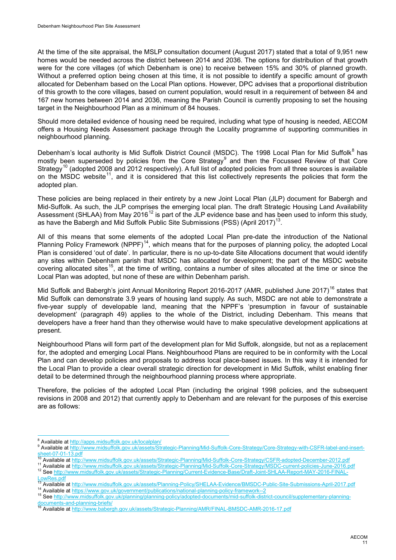At the time of the site appraisal, the MSLP consultation document (August 2017) stated that a total of 9,951 new homes would be needed across the district between 2014 and 2036. The options for distribution of that growth were for the core villages (of which Debenham is one) to receive between 15% and 30% of planned growth. Without a preferred option being chosen at this time, it is not possible to identify a specific amount of growth allocated for Debenham based on the Local Plan options. However, DPC advises that a proportional distribution of this growth to the core villages, based on current population, would result in a requirement of between 84 and 167 new homes between 2014 and 2036, meaning the Parish Council is currently proposing to set the housing target in the Neighbourhood Plan as a minimum of 84 houses.

Should more detailed evidence of housing need be required, including what type of housing is needed, AECOM offers a Housing Needs Assessment package through the Locality programme of supporting communities in neighbourhood planning.

Debenham's local authority is Mid Suffolk District Council (MSDC). The 199[8](#page-11-0) Local Plan for Mid Suffolk<sup>8</sup> has mostly been superseded by policies from the Core Strategy<sup>[9](#page-11-1)</sup> and then the Focussed Review of that Core Strategy<sup>[10](#page-11-2)</sup> (adopted 2008 and 2012 respectively). A full list of adopted policies from all three sources is available on the MSDC website<sup>[11](#page-11-3)</sup>, and it is considered that this list collectively represents the policies that form the adopted plan.

These policies are being replaced in their entirety by a new Joint Local Plan (JLP) document for Babergh and Mid-Suffolk. As such, the JLP comprises the emerging local plan. The draft Strategic Housing Land Availability Assessment (SHLAA) from May 2016<sup>[12](#page-11-4)</sup> is part of the JLP evidence base and has been used to inform this study, as have the Babergh and Mid Suffolk Public Site Submissions (PSS) (April 2017)<sup>13</sup>.

All of this means that some elements of the adopted Local Plan pre-date the introduction of the National Planning Policy Framework (NPPF)<sup>[14](#page-11-6)</sup>, which means that for the purposes of planning policy, the adopted Local Plan is considered 'out of date'. In particular, there is no up-to-date Site Allocations document that would identify any sites within Debenham parish that MSDC has allocated for development; the part of the MSDC website covering allocated sites<sup>[15](#page-11-7)</sup>, at the time of writing, contains a number of sites allocated at the time or since the Local Plan was adopted, but none of these are within Debenham parish.

Mid Suffolk and Babergh's joint Annual Monitoring Report 20[16](#page-11-8)-2017 (AMR, published June 2017)<sup>16</sup> states that Mid Suffolk can demonstrate 3.9 years of housing land supply. As such, MSDC are not able to demonstrate a five-year supply of developable land, meaning that the NPPF's 'presumption in favour of sustainable development' (paragraph 49) applies to the whole of the District, including Debenham. This means that developers have a freer hand than they otherwise would have to make speculative development applications at present.

Neighbourhood Plans will form part of the development plan for Mid Suffolk, alongside, but not as a replacement for, the adopted and emerging Local Plans. Neighbourhood Plans are required to be in conformity with the Local Plan and can develop policies and proposals to address local place-based issues. In this way it is intended for the Local Plan to provide a clear overall strategic direction for development in Mid Suffolk, whilst enabling finer detail to be determined through the neighbourhood planning process where appropriate.

Therefore, the policies of the adopted Local Plan (including the original 1998 policies, and the subsequent revisions in 2008 and 2012) that currently apply to Debenham and are relevant for the purposes of this exercise are as follows:

<span id="page-11-1"></span><span id="page-11-0"></span><sup>&</sup>lt;sup>8</sup> Available at <u>http://apps.midsuffolk.gov.uk/localplan/</u><br><sup>9</sup> Available at <u>http://www.midsuffolk.gov.uk/assets/Strategic-Planning/Mid-Suffolk-Core-Strategy/Core-Strategy-with-CSFR-label-and-insert-<br>sheet-07-01-13.pdf</u>

<span id="page-11-3"></span><span id="page-11-2"></span>

<sup>10&</sup>lt;br>To Available at<http://www.midsuffolk.gov.uk/assets/Strategic-Planning/Mid-Suffolk-Core-Strategy/CSFR-adopted-December-2012.pdf><br>11 Available at http://www.midsuffolk.gov.uk/assets/Strategic-Planning/Mid-Suffolk-Core-Str

<span id="page-11-5"></span><span id="page-11-4"></span>owRes.pd <sup>13</sup> Available at<http://www.midsuffolk.gov.uk/assets/Planning-Policy/SHELAA-Evidence/BMSDC-Public-Site-Submissions-April-2017.pdf><br><sup>14</sup> Available at <u>https://www.gov.uk/government/publications/national-planning-policy-fram</u>

<span id="page-11-7"></span><span id="page-11-6"></span>

<span id="page-11-8"></span>[documents-and-planning-briefs/](http://www.midsuffolk.gov.uk/planning/planning-policy/adopted-documents/mid-suffolk-district-council/supplementary-planning-documents-and-planning-briefs/)<br><sup>16</sup> Available at http://<u>www.babergh.gov.uk/assets/Strategic-Planning/AMR/FINAL-BMSDC-AMR-2016-17.pdf</u>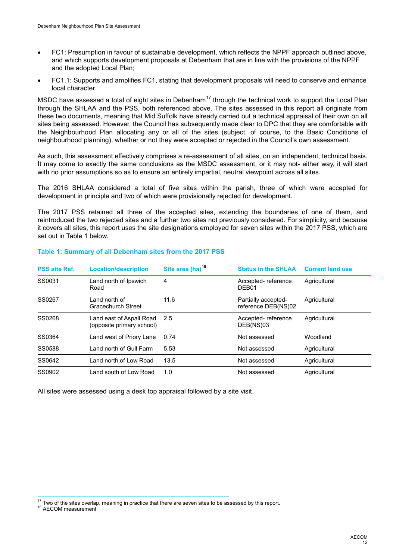- FC1: Presumption in favour of sustainable development, which reflects the NPPF approach outlined above, and which supports development proposals at Debenham that are in line with the provisions of the NPPF and the adopted Local Plan;
- FC1.1: Supports and amplifies FC1, stating that development proposals will need to conserve and enhance local character.

MSDC have assessed a total of eight sites in Debenham<sup>[17](#page-12-0)</sup> through the technical work to support the Local Plan through the SHLAA and the PSS, both referenced above. The sites assessed in this report all originate from these two documents, meaning that Mid Suffolk have already carried out a technical appraisal of their own on all sites being assessed. However, the Council has subsequently made clear to DPC that they are comfortable with the Neighbourhood Plan allocating any or all of the sites (subject, of course, to the Basic Conditions of neighbourhood planning), whether or not they were accepted or rejected in the Council's own assessment.

As such, this assessment effectively comprises a re-assessment of all sites, on an independent, technical basis. It may come to exactly the same conclusions as the MSDC assessment, or it may not- either way, it will start with no prior assumptions so as to ensure an entirely impartial, neutral viewpoint across all sites.

The 2016 SHLAA considered a total of five sites within the parish, three of which were accepted for development in principle and two of which were provisionally rejected for development.

The 2017 PSS retained all three of the accepted sites, extending the boundaries of one of them, and reintroduced the two rejected sites and a further two sites not previously considered. For simplicity, and because it covers all sites, this report uses the site designations employed for seven sites within the 2017 PSS, which are set out in Table 1 below.

| <b>PSS site Ref.</b> | <b>Location/description</b>                           | Site area (ha) <sup>18</sup> | <b>Status in the SHLAA</b>                 | <b>Current land use</b> |
|----------------------|-------------------------------------------------------|------------------------------|--------------------------------------------|-------------------------|
| SS0031               | Land north of Ipswich<br>Road                         | 4                            | Accepted-reference<br>DEB <sub>01</sub>    | Agricultural            |
| SS0267               | Land north of<br>Gracechurch Street                   | 11.6                         | Partially accepted-<br>reference DEB(NS)02 | Agricultural            |
| SS0268               | Land east of Aspall Road<br>(opposite primary school) | 2.5                          | Accepted-reference<br>DEB(NS)03            | Agricultural            |
| SS0364               | Land west of Priory Lane                              | 0.74                         | Not assessed                               | Woodland                |
| SS0588               | Land north of Gull Farm                               | 5.53                         | Not assessed                               | Agricultural            |
| SS0642               | Land north of Low Road                                | 13.5                         | Not assessed                               | Agricultural            |
| SS0902               | Land south of Low Road                                | 1.0                          | Not assessed                               | Agricultural            |

#### **Table 1: Summary of all Debenham sites from the 2017 PSS**

All sites were assessed using a desk top appraisal followed by a site visit.

<span id="page-12-1"></span><span id="page-12-0"></span><sup>&</sup>lt;sup>17</sup> Two of the sites overlap, meaning in practice that there are seven sites to be assessed by this report.<br><sup>18</sup> AFCOM measurement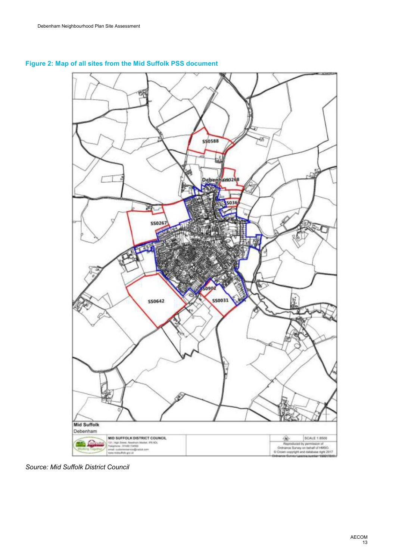

# **Figure 2: Map of all sites from the Mid Suffolk PSS document**

*Source: Mid Suffolk District Council*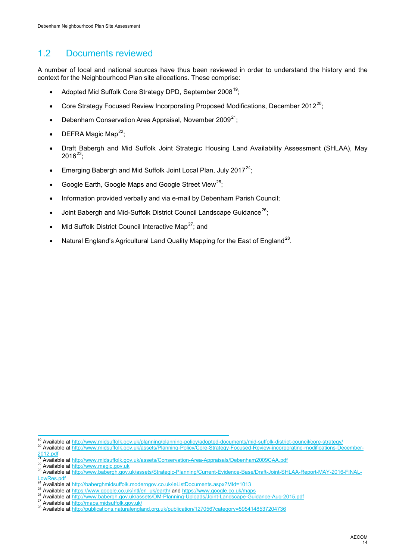# 1.2 Documents reviewed

A number of local and national sources have thus been reviewed in order to understand the history and the context for the Neighbourhood Plan site allocations. These comprise:

- Adopted Mid Suffolk Core Strategy DPD, September 2008<sup>19</sup>:
- Core Strategy Focused Review Incorporating Proposed Modifications, December [20](#page-14-1)12<sup>20</sup>;
- Debenham Conservation Area Appraisal. November 2009 $^{21}$ :
- DEFRA Magic Map<sup>[22](#page-14-3)</sup>:
- Draft Babergh and Mid Suffolk Joint Strategic Housing Land Availability Assessment (SHLAA), May  $2016^{23}$
- Emerging Babergh and Mid Suffolk Joint Local Plan, July 2017 $^{24}$  $^{24}$  $^{24}$ :
- Google Earth, Google Maps and Google Street View<sup>25</sup>;
- Information provided verbally and via e-mail by Debenham Parish Council;
- Joint Babergh and Mid-Suffolk District Council Landscape Guidance<sup>26</sup>:
- Mid Suffolk District Council Interactive Map<sup>[27](#page-14-8)</sup>: and
- Natural England's Agricultural Land Quality Mapping for the East of England<sup>28</sup>.

- 
- 

<span id="page-14-1"></span><span id="page-14-0"></span><sup>&</sup>lt;sup>19</sup> Available at<http://www.midsuffolk.gov.uk/planning/planning-policy/adopted-documents/mid-suffolk-district-council/core-strategy/><br><sup>20</sup> Available at http://www.midsuf<u>folk.gov.uk/assets/Planning-Policy/Core-Strategy-Foc</u> [2012.pdf](http://www.midsuffolk.gov.uk/assets/Planning-Policy/Core-Strategy-Focused-Review-incorporating-modifications-December-2012.pdf)<br><sup>21</sup> Available at http://www.midsuffolk.gov.uk/assets/Conservation-Area-Appraisals/Debenham2009CAA.pdf

<span id="page-14-3"></span><span id="page-14-2"></span><sup>22</sup> Available at http://www.midsulion.gov.uk/assets/Conservation-Area-Appraisals/Depermant2009CAA.pdf<br>22 Available at [http://www.magic.gov.uk](http://www.magic.gov.uk/)<br>23 Available at http://www.babergh.gov.uk/assets/Strategic-Planning/Current-Evide

<span id="page-14-4"></span>LowRes.put<br><sup>24</sup> Available at http://baberghmidsuffolk.moderngov.co.uk/ieListDocuments.aspx?MId=1013

<span id="page-14-7"></span><span id="page-14-6"></span><span id="page-14-5"></span>Available at http://www.google.co.uk/intl/en\_uk/earth/ and<https://www.google.co.uk/maps><br>26 Available at<http://www.babergh.gov.uk/assets/DM-Planning-Uploads/Joint-Landscape-Guidance-Aug-2015.pdf><br>27 Available at http://map

<span id="page-14-8"></span>

<span id="page-14-9"></span>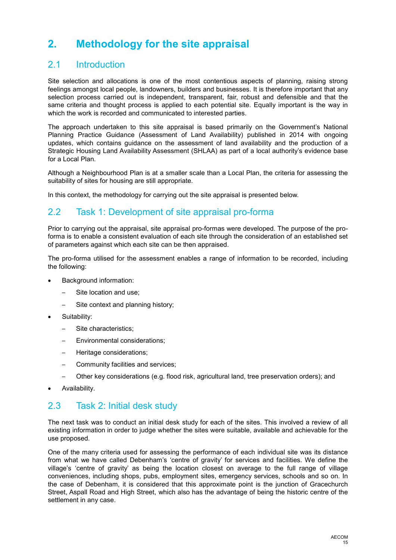# **2. Methodology for the site appraisal**

# 2.1 Introduction

Site selection and allocations is one of the most contentious aspects of planning, raising strong feelings amongst local people, landowners, builders and businesses. It is therefore important that any selection process carried out is independent, transparent, fair, robust and defensible and that the same criteria and thought process is applied to each potential site. Equally important is the way in which the work is recorded and communicated to interested parties.

The approach undertaken to this site appraisal is based primarily on the Government's National Planning Practice Guidance (Assessment of Land Availability) published in 2014 with ongoing updates, which contains guidance on the assessment of land availability and the production of a Strategic Housing Land Availability Assessment (SHLAA) as part of a local authority's evidence base for a Local Plan.

Although a Neighbourhood Plan is at a smaller scale than a Local Plan, the criteria for assessing the suitability of sites for housing are still appropriate.

In this context, the methodology for carrying out the site appraisal is presented below.

# 2.2 Task 1: Development of site appraisal pro-forma

Prior to carrying out the appraisal, site appraisal pro-formas were developed. The purpose of the proforma is to enable a consistent evaluation of each site through the consideration of an established set of parameters against which each site can be then appraised.

The pro-forma utilised for the assessment enables a range of information to be recorded, including the following:

- Background information:
	- Site location and use:
	- Site context and planning history;
- Suitability:
	- Site characteristics:
	- ─ Environmental considerations;
	- ─ Heritage considerations;
	- Community facilities and services;
	- Other key considerations (e.g. flood risk, agricultural land, tree preservation orders); and
- Availability.

# 2.3 Task 2: Initial desk study

The next task was to conduct an initial desk study for each of the sites. This involved a review of all existing information in order to judge whether the sites were suitable, available and achievable for the use proposed.

One of the many criteria used for assessing the performance of each individual site was its distance from what we have called Debenham's 'centre of gravity' for services and facilities. We define the village's 'centre of gravity' as being the location closest on average to the full range of village conveniences, including shops, pubs, employment sites, emergency services, schools and so on. In the case of Debenham, it is considered that this approximate point is the junction of Gracechurch Street, Aspall Road and High Street, which also has the advantage of being the historic centre of the settlement in any case.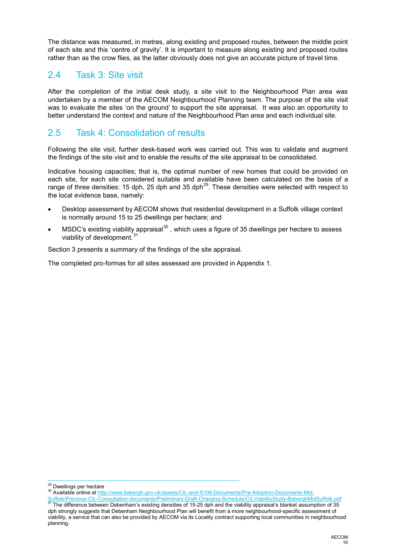The distance was measured, in metres, along existing and proposed routes, between the middle point of each site and this 'centre of gravity'. It is important to measure along existing and proposed routes rather than as the crow flies, as the latter obviously does not give an accurate picture of travel time.

# 2.4 Task 3: Site visit

After the completion of the initial desk study, a site visit to the Neighbourhood Plan area was undertaken by a member of the AECOM Neighbourhood Planning team. The purpose of the site visit was to evaluate the sites 'on the ground' to support the site appraisal. It was also an opportunity to better understand the context and nature of the Neighbourhood Plan area and each individual site.

# 2.5 Task 4: Consolidation of results

Following the site visit, further desk-based work was carried out. This was to validate and augment the findings of the site visit and to enable the results of the site appraisal to be consolidated.

Indicative housing capacities; that is, the optimal number of new homes that could be provided on each site, for each site considered suitable and available have been calculated on the basis of a range of three densities: 15 dph, 25 dph and 35 dph<sup>[29](#page-16-0)</sup>. These densities were selected with respect to the local evidence base, namely:

- Desktop assessment by AECOM shows that residential development in a Suffolk village context is normally around 15 to 25 dwellings per hectare; and
- MSDC's existing viability appraisal<sup>[30](#page-16-1)</sup>, which uses a figure of 35 dwellings per hectare to assess viability of development.<sup>[31](#page-16-2)</sup>

Section 3 presents a summary of the findings of the site appraisal.

The completed pro-formas for all sites assessed are provided in Appendix 1.

<span id="page-16-0"></span><sup>29</sup> Dwellings per hectare<br><sup>30</sup> Available online at <u>http://www.babergh.gov.uk/assets/CIL-and-S106-Documents/Pre-Adoption-Documents-Mid-<br>Suffolk/Previous-CIL-Consultation-documents/Preliminary-Draft-Charging-Schedule/CILVi</u>

<span id="page-16-2"></span><span id="page-16-1"></span>The difference between Debenham's existing densities of 15-25 dph and the viability appraisal's blanket assumption of 35 dph strongly suggests that Debenham Neighbourhood Plan will benefit from a more neighbourhood-specific assessment of viability, a service that can also be provided by AECOM via its Locality contract supporting local communities in neighbourhood planning.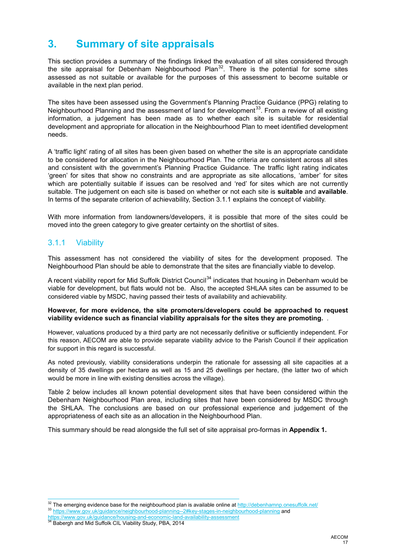# **3. Summary of site appraisals**

This section provides a summary of the findings linked the evaluation of all sites considered through the site appraisal for Debenham Neighbourhood Plan<sup>32</sup>. There is the potential for some sites assessed as not suitable or available for the purposes of this assessment to become suitable or available in the next plan period.

The sites have been assessed using the Government's Planning Practice Guidance (PPG) relating to Neighbourhood Planning and the assessment of land for development<sup>33</sup>. From a review of all existing information, a judgement has been made as to whether each site is suitable for residential development and appropriate for allocation in the Neighbourhood Plan to meet identified development needs.

A 'traffic light' rating of all sites has been given based on whether the site is an appropriate candidate to be considered for allocation in the Neighbourhood Plan. The criteria are consistent across all sites and consistent with the government's Planning Practice Guidance. The traffic light rating indicates 'green' for sites that show no constraints and are appropriate as site allocations, 'amber' for sites which are potentially suitable if issues can be resolved and 'red' for sites which are not currently suitable. The judgement on each site is based on whether or not each site is **suitable** and **available**. In terms of the separate criterion of achievability, Section 3.1.1 explains the concept of viability.

With more information from landowners/developers, it is possible that more of the sites could be moved into the green category to give greater certainty on the shortlist of sites.

## 3.1.1 Viability

This assessment has not considered the viability of sites for the development proposed. The Neighbourhood Plan should be able to demonstrate that the sites are financially viable to develop.

A recent viability report for Mid Suffolk District Council<sup>[34](#page-17-2)</sup> indicates that housing in Debenham would be viable for development, but flats would not be. Also, the accepted SHLAA sites can be assumed to be considered viable by MSDC, having passed their tests of availability and achievability.

#### **However, for more evidence, the site promoters/developers could be approached to request viability evidence such as financial viability appraisals for the sites they are promoting.** .

However, valuations produced by a third party are not necessarily definitive or sufficiently independent. For this reason, AECOM are able to provide separate viability advice to the Parish Council if their application for support in this regard is successful.

As noted previously, viability considerations underpin the rationale for assessing all site capacities at a density of 35 dwellings per hectare as well as 15 and 25 dwellings per hectare, (the latter two of which would be more in line with existing densities across the village).

Table 2 below includes all known potential development sites that have been considered within the Debenham Neighbourhood Plan area, including sites that have been considered by MSDC through the SHLAA. The conclusions are based on our professional experience and judgement of the appropriateness of each site as an allocation in the Neighbourhood Plan.

This summary should be read alongside the full set of site appraisal pro-formas in **Appendix 1.**

<span id="page-17-1"></span><span id="page-17-0"></span><sup>&</sup>lt;sup>32</sup> The emerging evidence base for the neighbourhood plan is available online a[t http://debenhamnp.onesuffolk.net/](http://debenhamnp.onesuffolk.net/)<br><sup>33</sup> <https://www.gov.uk/guidance/neighbourhood-planning--2#key-stages-in-neighbourhood-planning> and<br>https

<span id="page-17-2"></span><sup>&</sup>lt;sup>34</sup> Babergh and Mid Suffolk CIL Viability Study, PBA, 2014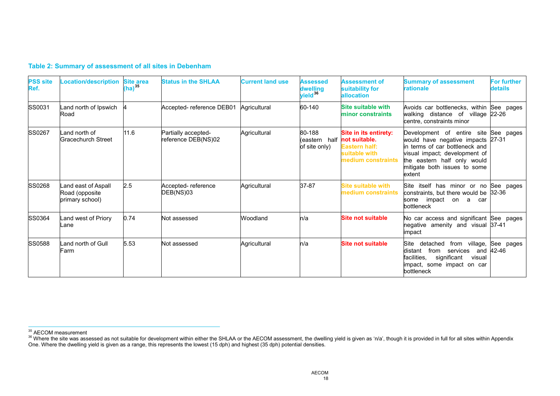| <b>PSS site</b><br>Ref. | <b>Location/description</b>                              | <b>Site area</b><br>(ha) $^{35}$ | <b>Status in the SHLAA</b>                 | <b>Current land use</b> | <b>Assessed</b><br>dwelling<br>yield <sup>36</sup> | <b>Assessment of</b><br>suitability for<br>allocation                                               | <b>Summary of assessment</b><br><b>rationale</b>                                                                                                                                                                      | For further<br>details |
|-------------------------|----------------------------------------------------------|----------------------------------|--------------------------------------------|-------------------------|----------------------------------------------------|-----------------------------------------------------------------------------------------------------|-----------------------------------------------------------------------------------------------------------------------------------------------------------------------------------------------------------------------|------------------------|
| SS0031                  | and north of Ipswich<br>Road                             |                                  | Accepted-reference DEB01                   | Agricultural            | 60-140                                             | <b>Site suitable with</b><br>minor constraints                                                      | Avoids car bottlenecks, within See pages<br>walking distance of village 22-26<br>centre, constraints minor                                                                                                            |                        |
| SS0267                  | and north of<br>Gracechurch Street                       | 11.6                             | Partially accepted-<br>reference DEB(NS)02 | Agricultural            | 80-188<br>(eastern<br>of site only)                | Site in its entirety:<br>half not suitable.<br>Eastern half:<br>suitable with<br>medium constraints | Development of entire site See pages<br>would have negative impacts 27-31<br>in terms of car bottleneck and<br>visual impact; development of<br>the eastern half only would<br>mitigate both issues to some<br>extent |                        |
| SS0268                  | and east of Aspall.<br>Road (opposite<br>primary school) | 2.5                              | Accepted-reference<br>DEB(NS)03            | Agricultural            | 37-87                                              | Site suitable with<br>medium constraints                                                            | Site itself has minor or no See pages<br>constraints, but there would be 32-36<br>impact<br>some<br>on<br>a car<br>bottleneck                                                                                         |                        |
| SS0364                  | and west of Priory<br>ane.                               | 0.74                             | Not assessed                               | Woodland                | h/a                                                | <b>Site not suitable</b>                                                                            | No car access and significant See pages<br>negative amenity and visual 37-41<br>impact                                                                                                                                |                        |
| SS0588                  | and north of Gull.<br><sup>=</sup> arm                   | 5.53                             | Not assessed                               | Agricultural            | h/a                                                | <b>Site not suitable</b>                                                                            | from village, See pages<br>Site<br>detached<br>services<br>from<br>distant<br>facilities,<br>visual<br>significant<br>impact, some impact on car<br>bottleneck                                                        | and 42-46              |

#### <span id="page-18-1"></span><span id="page-18-0"></span>**Table 2: Summary of assessment of all sites in Debenham**

<sup>&</sup>lt;sup>35</sup> AECOM measurement<br><sup>36</sup> Where the site was assessed as not suitable for development within either the SHLAA or the AECOM assessment, the dwelling yield is given as 'n/a', though it is provided in full for all sites wit One. Where the dwelling yield is given as a range, this represents the lowest (15 dph) and highest (35 dph) potential densities.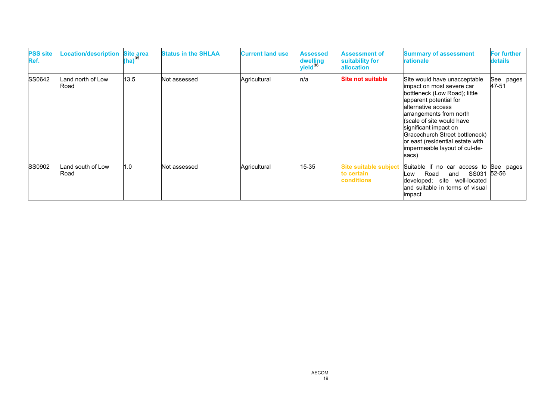| <b>PSS site</b><br>Ref. | <b>Location/description</b> | <b>Site area</b><br>$(ha)^{35}$ | <b>Status in the SHLAA</b> | <b>Current land use</b> | <b>Assessed</b><br>dwelling<br>yield <sup>36</sup> | <b>Assessment of</b><br>suitability for<br>allocation      | <b>Summary of assessment</b><br><b>rationale</b>                                                                                                                                                                                                                                                                                            | <b>For further</b><br>details |
|-------------------------|-----------------------------|---------------------------------|----------------------------|-------------------------|----------------------------------------------------|------------------------------------------------------------|---------------------------------------------------------------------------------------------------------------------------------------------------------------------------------------------------------------------------------------------------------------------------------------------------------------------------------------------|-------------------------------|
| SS0642                  | and north of Low_<br>Road   | 13.5                            | Not assessed               | Agricultural            | h/a                                                | <b>Site not suitable</b>                                   | Site would have unacceptable<br>impact on most severe car<br>bottleneck (Low Road); little<br>apparent potential for<br>alternative access<br>arrangements from north<br>(scale of site would have<br>significant impact on<br>Gracechurch Street bottleneck)<br>or east (residential estate with<br>impermeable layout of cul-de-<br>sacs) | See pages<br>47-51            |
| <b>SS0902</b>           | Land south of Low<br>Road   | 1.0                             | Not assessed               | Agricultural            | 15-35                                              | <b>Site suitable subject</b><br>to certain l<br>conditions | Suitable if no<br>car access to See pages<br>SS031<br>Road<br>and<br>Low<br>developed; site well-located<br>and suitable in terms of visual<br>impact                                                                                                                                                                                       | 52-56                         |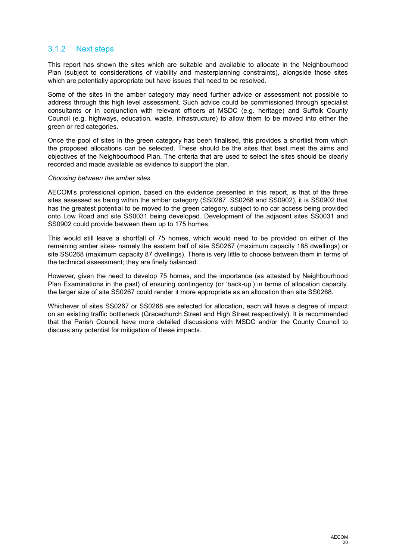## 3.1.2 Next steps

This report has shown the sites which are suitable and available to allocate in the Neighbourhood Plan (subject to considerations of viability and masterplanning constraints), alongside those sites which are potentially appropriate but have issues that need to be resolved.

Some of the sites in the amber category may need further advice or assessment not possible to address through this high level assessment. Such advice could be commissioned through specialist consultants or in conjunction with relevant officers at MSDC (e.g. heritage) and Suffolk County Council (e.g. highways, education, waste, infrastructure) to allow them to be moved into either the green or red categories.

Once the pool of sites in the green category has been finalised, this provides a shortlist from which the proposed allocations can be selected. These should be the sites that best meet the aims and objectives of the Neighbourhood Plan. The criteria that are used to select the sites should be clearly recorded and made available as evidence to support the plan.

#### *Choosing between the amber sites*

AECOM's professional opinion, based on the evidence presented in this report, is that of the three sites assessed as being within the amber category (SS0267, SS0268 and SS0902), it is SS0902 that has the greatest potential to be moved to the green category, subject to no car access being provided onto Low Road and site SS0031 being developed. Development of the adjacent sites SS0031 and SS0902 could provide between them up to 175 homes.

This would still leave a shortfall of 75 homes, which would need to be provided on either of the remaining amber sites- namely the eastern half of site SS0267 (maximum capacity 188 dwellings) or site SS0268 (maximum capacity 87 dwellings). There is very little to choose between them in terms of the technical assessment; they are finely balanced.

However, given the need to develop 75 homes, and the importance (as attested by Neighbourhood Plan Examinations in the past) of ensuring contingency (or 'back-up') in terms of allocation capacity, the larger size of site SS0267 could render it more appropriate as an allocation than site SS0268.

Whichever of sites SS0267 or SS0268 are selected for allocation, each will have a degree of impact on an existing traffic bottleneck (Gracechurch Street and High Street respectively). It is recommended that the Parish Council have more detailed discussions with MSDC and/or the County Council to discuss any potential for mitigation of these impacts.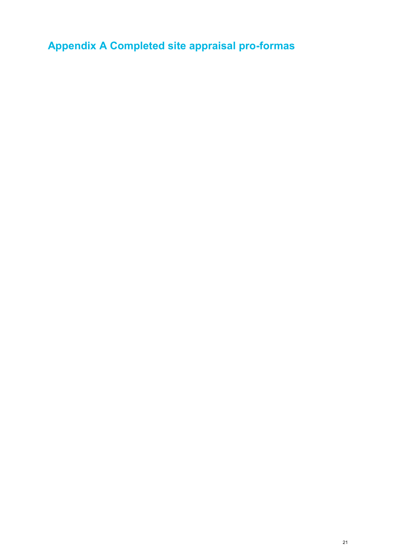**Appendix A Completed site appraisal pro-formas**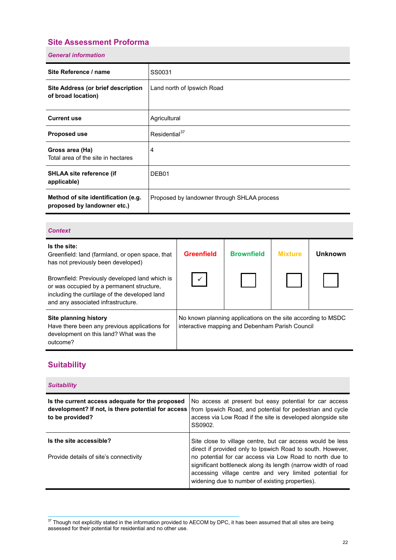## **Site Assessment Proforma**

#### *General information*

| Site Reference / name                                              | SS0031                                      |
|--------------------------------------------------------------------|---------------------------------------------|
| <b>Site Address (or brief description</b><br>of broad location)    | Land north of Ipswich Road                  |
| <b>Current use</b>                                                 | Agricultural                                |
| <b>Proposed use</b>                                                | Residential <sup>37</sup>                   |
| Gross area (Ha)<br>Total area of the site in hectares              | 4                                           |
| <b>SHLAA site reference (if</b><br>applicable)                     | DEB01                                       |
| Method of site identification (e.g.<br>proposed by landowner etc.) | Proposed by landowner through SHLAA process |

#### *Context*

| Is the site:<br>Greenfield: land (farmland, or open space, that<br>has not previously been developed)                                                                              | <b>Greenfield</b> | <b>Brownfield</b>                                                                                               | <b>Mixture</b> | Unknown |
|------------------------------------------------------------------------------------------------------------------------------------------------------------------------------------|-------------------|-----------------------------------------------------------------------------------------------------------------|----------------|---------|
| Brownfield: Previously developed land which is<br>or was occupied by a permanent structure,<br>including the curtilage of the developed land<br>and any associated infrastructure. |                   |                                                                                                                 |                |         |
| <b>Site planning history</b><br>Have there been any previous applications for<br>development on this land? What was the<br>outcome?                                                |                   | No known planning applications on the site according to MSDC<br>interactive mapping and Debenham Parish Council |                |         |

# **Suitability**

| <b>Suitability</b>                                                                                                       |                                                                                                                                                                                                                                                                                                                                                                     |
|--------------------------------------------------------------------------------------------------------------------------|---------------------------------------------------------------------------------------------------------------------------------------------------------------------------------------------------------------------------------------------------------------------------------------------------------------------------------------------------------------------|
| Is the current access adequate for the proposed<br>development? If not, is there potential for access<br>to be provided? | No access at present but easy potential for car access<br>from Ipswich Road, and potential for pedestrian and cycle<br>access via Low Road if the site is developed alongside site<br>SS0902.                                                                                                                                                                       |
| Is the site accessible?<br>Provide details of site's connectivity                                                        | Site close to village centre, but car access would be less<br>direct if provided only to Ipswich Road to south. However,<br>no potential for car access via Low Road to north due to<br>significant bottleneck along its length (narrow width of road<br>accessing village centre and very limited potential for<br>widening due to number of existing properties). |

<span id="page-22-0"></span> $\frac{1}{37}$  Though not explicitly stated in the information provided to AECOM by DPC, it has been assumed that all sites are being assessed for their potential for residential and no other use.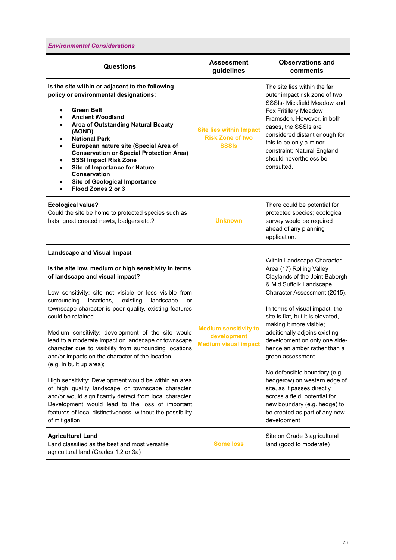#### *Environmental Considerations*

| <b>Questions</b>                                                                                                                                                                                                                                                                                                                                                                                                                                                                                                                                                                                                                                                                                                                                                                                                                                                                                      | <b>Assessment</b><br>guidelines                                            | <b>Observations and</b><br>comments                                                                                                                                                                                                                                                                                                                                                                                                                                                                                                                                                          |  |
|-------------------------------------------------------------------------------------------------------------------------------------------------------------------------------------------------------------------------------------------------------------------------------------------------------------------------------------------------------------------------------------------------------------------------------------------------------------------------------------------------------------------------------------------------------------------------------------------------------------------------------------------------------------------------------------------------------------------------------------------------------------------------------------------------------------------------------------------------------------------------------------------------------|----------------------------------------------------------------------------|----------------------------------------------------------------------------------------------------------------------------------------------------------------------------------------------------------------------------------------------------------------------------------------------------------------------------------------------------------------------------------------------------------------------------------------------------------------------------------------------------------------------------------------------------------------------------------------------|--|
| Is the site within or adjacent to the following<br>policy or environmental designations:<br><b>Green Belt</b><br><b>Ancient Woodland</b><br><b>Area of Outstanding Natural Beauty</b><br>(AONB)<br><b>National Park</b><br>European nature site (Special Area of<br><b>Conservation or Special Protection Area)</b><br><b>SSSI Impact Risk Zone</b><br><b>Site of Importance for Nature</b><br><b>Conservation</b><br><b>Site of Geological Importance</b><br>$\bullet$<br>Flood Zones 2 or 3                                                                                                                                                                                                                                                                                                                                                                                                         | <b>Site lies within Impact</b><br><b>Risk Zone of two</b><br><b>SSSIs</b>  | The site lies within the far<br>outer impact risk zone of two<br>SSSIs- Mickfield Meadow and<br>Fox Fritillary Meadow<br>Framsden. However, in both<br>cases, the SSSIs are<br>considered distant enough for<br>this to be only a minor<br>constraint; Natural England<br>should nevertheless be<br>consulted.                                                                                                                                                                                                                                                                               |  |
| <b>Ecological value?</b><br>Could the site be home to protected species such as<br>bats, great crested newts, badgers etc.?                                                                                                                                                                                                                                                                                                                                                                                                                                                                                                                                                                                                                                                                                                                                                                           | <b>Unknown</b>                                                             | There could be potential for<br>protected species; ecological<br>survey would be required<br>ahead of any planning<br>application.                                                                                                                                                                                                                                                                                                                                                                                                                                                           |  |
| <b>Landscape and Visual Impact</b><br>Is the site low, medium or high sensitivity in terms<br>of landscape and visual impact?<br>Low sensitivity: site not visible or less visible from<br>locations,<br>surrounding<br>existing<br>landscape<br>or<br>townscape character is poor quality, existing features<br>could be retained<br>Medium sensitivity: development of the site would<br>lead to a moderate impact on landscape or townscape<br>character due to visibility from surrounding locations<br>and/or impacts on the character of the location.<br>(e.g. in built up area);<br>High sensitivity: Development would be within an area<br>of high quality landscape or townscape character,<br>and/or would significantly detract from local character.<br>Development would lead to the loss of important<br>features of local distinctiveness- without the possibility<br>of mitigation. | <b>Medium sensitivity to</b><br>development<br><b>Medium visual impact</b> | Within Landscape Character<br>Area (17) Rolling Valley<br>Claylands of the Joint Babergh<br>& Mid Suffolk Landscape<br>Character Assessment (2015).<br>In terms of visual impact, the<br>site is flat, but it is elevated,<br>making it more visible;<br>additionally adjoins existing<br>development on only one side-<br>hence an amber rather than a<br>green assessment.<br>No defensible boundary (e.g.<br>hedgerow) on western edge of<br>site, as it passes directly<br>across a field; potential for<br>new boundary (e.g. hedge) to<br>be created as part of any new<br>development |  |
| <b>Agricultural Land</b><br>Land classified as the best and most versatile<br>agricultural land (Grades 1,2 or 3a)                                                                                                                                                                                                                                                                                                                                                                                                                                                                                                                                                                                                                                                                                                                                                                                    | <b>Some loss</b>                                                           | Site on Grade 3 agricultural<br>land (good to moderate)                                                                                                                                                                                                                                                                                                                                                                                                                                                                                                                                      |  |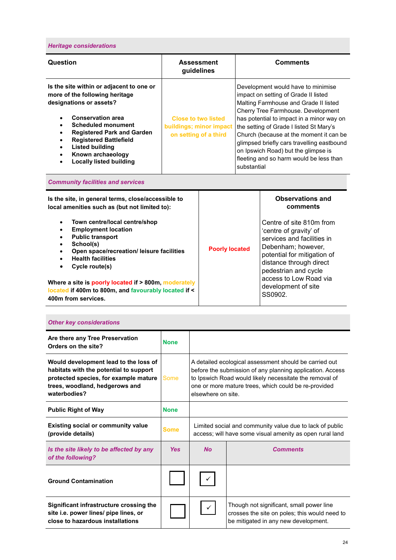#### *Heritage considerations*

| Question                                                                                                                                                                                                                                                                                                       | <b>Assessment</b><br>guidelines |                                                                                        |  | <b>Comments</b>                                                                                                                                                                                                                                                                                                                                                                                                               |
|----------------------------------------------------------------------------------------------------------------------------------------------------------------------------------------------------------------------------------------------------------------------------------------------------------------|---------------------------------|----------------------------------------------------------------------------------------|--|-------------------------------------------------------------------------------------------------------------------------------------------------------------------------------------------------------------------------------------------------------------------------------------------------------------------------------------------------------------------------------------------------------------------------------|
| Is the site within or adjacent to one or<br>more of the following heritage<br>designations or assets?<br><b>Conservation area</b><br><b>Scheduled monument</b><br><b>Registered Park and Garden</b><br><b>Registered Battlefield</b><br>Listed building<br>Known archaeology<br><b>Locally listed building</b> |                                 | Close to two listed<br>buildings; minor impact<br>on setting of a third<br>substantial |  | Development would have to minimise<br>impact on setting of Grade II listed<br>Malting Farmhouse and Grade II listed<br>Cherry Tree Farmhouse. Development<br>has potential to impact in a minor way on<br>the setting of Grade I listed St Mary's<br>Church (because at the moment it can be.<br>glimpsed briefly cars travelling eastbound<br>on Ipswich Road) but the glimpse is<br>fleeting and so harm would be less than |
| <b>Community facilities and services</b>                                                                                                                                                                                                                                                                       |                                 |                                                                                        |  |                                                                                                                                                                                                                                                                                                                                                                                                                               |
| Is the site, in general terms, close/accessible to<br>local amenities such as (but not limited to):                                                                                                                                                                                                            |                                 |                                                                                        |  | <b>Observations and</b><br>comments                                                                                                                                                                                                                                                                                                                                                                                           |

| <b>Poorly located</b> | Centre of site 810m from<br>'centre of gravity' of<br>services and facilities in<br>Debenham; however,<br>potential for mitigation of<br>distance through direct<br>pedestrian and cycle<br>access to Low Road via |
|-----------------------|--------------------------------------------------------------------------------------------------------------------------------------------------------------------------------------------------------------------|
|                       | development of site<br>SS0902.                                                                                                                                                                                     |
|                       |                                                                                                                                                                                                                    |

#### *Other key considerations*

| Are there any Tree Preservation<br>Orders on the site?                                                                                                                     | <b>None</b> |                                                                                                                                                                                                                                                              |                                                                                                                                   |  |
|----------------------------------------------------------------------------------------------------------------------------------------------------------------------------|-------------|--------------------------------------------------------------------------------------------------------------------------------------------------------------------------------------------------------------------------------------------------------------|-----------------------------------------------------------------------------------------------------------------------------------|--|
| Would development lead to the loss of<br>habitats with the potential to support<br>protected species, for example mature<br>trees, woodland, hedgerows and<br>waterbodies? | Some        | A detailed ecological assessment should be carried out<br>before the submission of any planning application. Access<br>to Ipswich Road would likely necessitate the removal of<br>one or more mature trees, which could be re-provided<br>elsewhere on site. |                                                                                                                                   |  |
| <b>Public Right of Way</b>                                                                                                                                                 | <b>None</b> |                                                                                                                                                                                                                                                              |                                                                                                                                   |  |
| <b>Existing social or community value</b><br>(provide details)                                                                                                             | <b>Some</b> | Limited social and community value due to lack of public<br>access; will have some visual amenity as open rural land                                                                                                                                         |                                                                                                                                   |  |
| Is the site likely to be affected by any<br>of the following?                                                                                                              | <b>Yes</b>  | <b>No</b><br><b>Comments</b>                                                                                                                                                                                                                                 |                                                                                                                                   |  |
| <b>Ground Contamination</b>                                                                                                                                                |             |                                                                                                                                                                                                                                                              |                                                                                                                                   |  |
| Significant infrastructure crossing the<br>site i.e. power lines/ pipe lines, or<br>close to hazardous installations                                                       |             |                                                                                                                                                                                                                                                              | Though not significant, small power line<br>crosses the site on poles; this would need to<br>be mitigated in any new development. |  |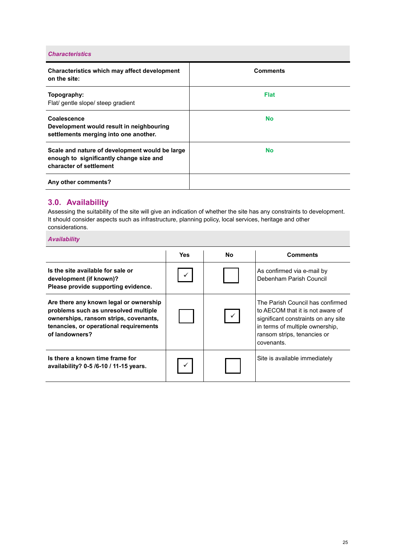| <b>Characteristics</b>                                                                                               |                 |
|----------------------------------------------------------------------------------------------------------------------|-----------------|
| Characteristics which may affect development<br>on the site:                                                         | <b>Comments</b> |
| Topography:<br>Flat/ gentle slope/ steep gradient                                                                    | <b>Flat</b>     |
| Coalescence<br>Development would result in neighbouring<br>settlements merging into one another.                     | <b>No</b>       |
| Scale and nature of development would be large<br>enough to significantly change size and<br>character of settlement | <b>No</b>       |
| Any other comments?                                                                                                  |                 |

# **3.0. Availability**

Assessing the suitability of the site will give an indication of whether the site has any constraints to development. It should consider aspects such as infrastructure, planning policy, local services, heritage and other considerations.

#### *Availability*

|                                                                                                                                                                                     | Yes | <b>No</b> | <b>Comments</b>                                                                                                                                                                             |
|-------------------------------------------------------------------------------------------------------------------------------------------------------------------------------------|-----|-----------|---------------------------------------------------------------------------------------------------------------------------------------------------------------------------------------------|
| Is the site available for sale or<br>development (if known)?<br>Please provide supporting evidence.                                                                                 |     |           | As confirmed via e-mail by<br>Debenham Parish Council                                                                                                                                       |
| Are there any known legal or ownership<br>problems such as unresolved multiple<br>ownerships, ransom strips, covenants,<br>tenancies, or operational requirements<br>of landowners? |     |           | The Parish Council has confirmed<br>to AECOM that it is not aware of<br>significant constraints on any site<br>in terms of multiple ownership,<br>ransom strips, tenancies or<br>covenants. |
| Is there a known time frame for<br>availability? 0-5 /6-10 / 11-15 years.                                                                                                           |     |           | Site is available immediately                                                                                                                                                               |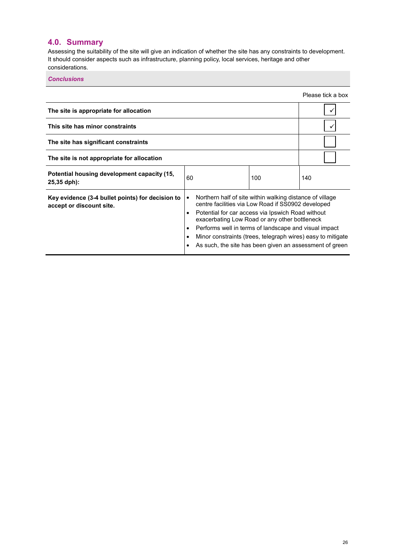## **4.0. Summary**

Assessing the suitability of the site will give an indication of whether the site has any constraints to development. It should consider aspects such as infrastructure, planning policy, local services, heritage and other considerations.

#### *Conclusions*

|                                                                              |                                                                                                                                                                                                                                                                                                                                                                                                                                        |     | Please tick a box |
|------------------------------------------------------------------------------|----------------------------------------------------------------------------------------------------------------------------------------------------------------------------------------------------------------------------------------------------------------------------------------------------------------------------------------------------------------------------------------------------------------------------------------|-----|-------------------|
| The site is appropriate for allocation                                       |                                                                                                                                                                                                                                                                                                                                                                                                                                        |     |                   |
| This site has minor constraints                                              |                                                                                                                                                                                                                                                                                                                                                                                                                                        |     |                   |
| The site has significant constraints                                         |                                                                                                                                                                                                                                                                                                                                                                                                                                        |     |                   |
| The site is not appropriate for allocation                                   |                                                                                                                                                                                                                                                                                                                                                                                                                                        |     |                   |
| Potential housing development capacity (15,<br>$25,35$ dph):                 | 60                                                                                                                                                                                                                                                                                                                                                                                                                                     | 100 | 140               |
| Key evidence (3-4 bullet points) for decision to<br>accept or discount site. | Northern half of site within walking distance of village<br>$\bullet$<br>centre facilities via Low Road if SS0902 developed<br>Potential for car access via Ipswich Road without<br>$\bullet$<br>exacerbating Low Road or any other bottleneck<br>Performs well in terms of landscape and visual impact<br>٠<br>Minor constraints (trees, telegraph wires) easy to mitigate<br>As such, the site has been given an assessment of green |     |                   |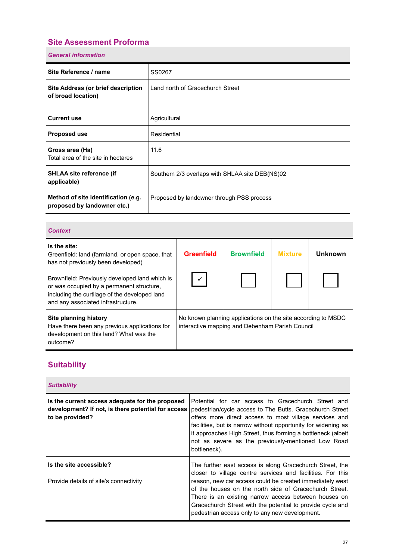# **Site Assessment Proforma**

#### *General information*

| Site Reference / name                                              | SS0267                                          |
|--------------------------------------------------------------------|-------------------------------------------------|
| <b>Site Address (or brief description</b><br>of broad location)    | Land north of Gracechurch Street                |
| <b>Current use</b>                                                 | Agricultural                                    |
| <b>Proposed use</b>                                                | Residential                                     |
| Gross area (Ha)<br>Total area of the site in hectares              | 11.6                                            |
| <b>SHLAA site reference (if</b><br>applicable)                     | Southern 2/3 overlaps with SHLAA site DEB(NS)02 |
| Method of site identification (e.g.<br>proposed by landowner etc.) | Proposed by landowner through PSS process       |

#### *Context*

| Is the site:<br>Greenfield: land (farmland, or open space, that<br>has not previously been developed)                                                                              | <b>Greenfield</b> | <b>Brownfield</b>                                                                                               | <b>Mixture</b> | Unknown |
|------------------------------------------------------------------------------------------------------------------------------------------------------------------------------------|-------------------|-----------------------------------------------------------------------------------------------------------------|----------------|---------|
| Brownfield: Previously developed land which is<br>or was occupied by a permanent structure,<br>including the curtilage of the developed land<br>and any associated infrastructure. |                   |                                                                                                                 |                |         |
| Site planning history<br>Have there been any previous applications for<br>development on this land? What was the<br>outcome?                                                       |                   | No known planning applications on the site according to MSDC<br>interactive mapping and Debenham Parish Council |                |         |

# **Suitability**

| <b>Suitability</b>                                                                                                       |                                                                                                                                                                                                                                                                                                                                                                                                                      |
|--------------------------------------------------------------------------------------------------------------------------|----------------------------------------------------------------------------------------------------------------------------------------------------------------------------------------------------------------------------------------------------------------------------------------------------------------------------------------------------------------------------------------------------------------------|
| Is the current access adequate for the proposed<br>development? If not, is there potential for access<br>to be provided? | Potential for car access to Gracechurch Street and<br>pedestrian/cycle access to The Butts. Gracechurch Street<br>offers more direct access to most village services and<br>facilities, but is narrow without opportunity for widening as<br>it approaches High Street, thus forming a bottleneck (albeit<br>not as severe as the previously-mentioned Low Road<br>bottleneck).                                      |
| Is the site accessible?<br>Provide details of site's connectivity                                                        | The further east access is along Gracechurch Street, the<br>closer to village centre services and facilities. For this<br>reason, new car access could be created immediately west<br>of the houses on the north side of Gracechurch Street.<br>There is an existing narrow access between houses on<br>Gracechurch Street with the potential to provide cycle and<br>pedestrian access only to any new development. |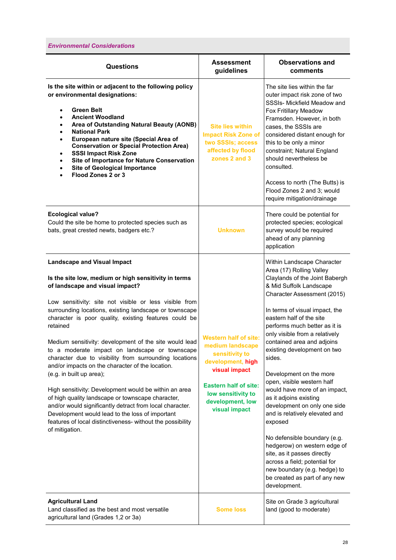#### *Environmental Considerations*

| <b>Questions</b>                                                                                                                                                                                                                                                                                                                                                                                                                                                                                                                                                                                                                                                                                                                                                                                                                                                                          | <b>Assessment</b><br>guidelines                                                                                                                                                                            | <b>Observations and</b><br>comments                                                                                                                                                                                                                                                                                                                                                                                                                                                                                                                                                                                                                                                                                                                                          |  |
|-------------------------------------------------------------------------------------------------------------------------------------------------------------------------------------------------------------------------------------------------------------------------------------------------------------------------------------------------------------------------------------------------------------------------------------------------------------------------------------------------------------------------------------------------------------------------------------------------------------------------------------------------------------------------------------------------------------------------------------------------------------------------------------------------------------------------------------------------------------------------------------------|------------------------------------------------------------------------------------------------------------------------------------------------------------------------------------------------------------|------------------------------------------------------------------------------------------------------------------------------------------------------------------------------------------------------------------------------------------------------------------------------------------------------------------------------------------------------------------------------------------------------------------------------------------------------------------------------------------------------------------------------------------------------------------------------------------------------------------------------------------------------------------------------------------------------------------------------------------------------------------------------|--|
| Is the site within or adjacent to the following policy<br>or environmental designations:<br><b>Green Belt</b><br>٠<br><b>Ancient Woodland</b><br>Area of Outstanding Natural Beauty (AONB)<br><b>National Park</b><br>European nature site (Special Area of<br><b>Conservation or Special Protection Area)</b><br><b>SSSI Impact Risk Zone</b><br>٠<br>Site of Importance for Nature Conservation<br><b>Site of Geological Importance</b><br>Flood Zones 2 or 3                                                                                                                                                                                                                                                                                                                                                                                                                           | <b>Site lies within</b><br><b>Impact Risk Zone of</b><br>two SSSIs; access<br>affected by flood<br>zones 2 and 3                                                                                           | The site lies within the far<br>outer impact risk zone of two<br>SSSIs- Mickfield Meadow and<br>Fox Fritillary Meadow<br>Framsden. However, in both<br>cases, the SSSIs are<br>considered distant enough for<br>this to be only a minor<br>constraint; Natural England<br>should nevertheless be<br>consulted.<br>Access to north (The Butts) is<br>Flood Zones 2 and 3; would<br>require mitigation/drainage                                                                                                                                                                                                                                                                                                                                                                |  |
| <b>Ecological value?</b><br>Could the site be home to protected species such as<br>bats, great crested newts, badgers etc.?                                                                                                                                                                                                                                                                                                                                                                                                                                                                                                                                                                                                                                                                                                                                                               | <b>Unknown</b>                                                                                                                                                                                             | There could be potential for<br>protected species; ecological<br>survey would be required<br>ahead of any planning<br>application                                                                                                                                                                                                                                                                                                                                                                                                                                                                                                                                                                                                                                            |  |
| <b>Landscape and Visual Impact</b><br>Is the site low, medium or high sensitivity in terms<br>of landscape and visual impact?<br>Low sensitivity: site not visible or less visible from<br>surrounding locations, existing landscape or townscape<br>character is poor quality, existing features could be<br>retained<br>Medium sensitivity: development of the site would lead<br>to a moderate impact on landscape or townscape<br>character due to visibility from surrounding locations<br>and/or impacts on the character of the location.<br>(e.g. in built up area);<br>High sensitivity: Development would be within an area<br>of high quality landscape or townscape character,<br>and/or would significantly detract from local character.<br>Development would lead to the loss of important<br>features of local distinctiveness- without the possibility<br>of mitigation. | <b>Western half of site:</b><br>medium landscape<br>sensitivity to<br>development, high<br><b>visual impact</b><br><b>Eastern half of site:</b><br>low sensitivity to<br>development, low<br>visual impact | Within Landscape Character<br>Area (17) Rolling Valley<br>Claylands of the Joint Babergh<br>& Mid Suffolk Landscape<br>Character Assessment (2015)<br>In terms of visual impact, the<br>eastern half of the site<br>performs much better as it is<br>only visible from a relatively<br>contained area and adjoins<br>existing development on two<br>sides.<br>Development on the more<br>open, visible western half<br>would have more of an impact,<br>as it adjoins existing<br>development on only one side<br>and is relatively elevated and<br>exposed<br>No defensible boundary (e.g.<br>hedgerow) on western edge of<br>site, as it passes directly<br>across a field; potential for<br>new boundary (e.g. hedge) to<br>be created as part of any new<br>development. |  |
| <b>Agricultural Land</b><br>Land classified as the best and most versatile<br>agricultural land (Grades 1,2 or 3a)                                                                                                                                                                                                                                                                                                                                                                                                                                                                                                                                                                                                                                                                                                                                                                        | <b>Some loss</b>                                                                                                                                                                                           | Site on Grade 3 agricultural<br>land (good to moderate)                                                                                                                                                                                                                                                                                                                                                                                                                                                                                                                                                                                                                                                                                                                      |  |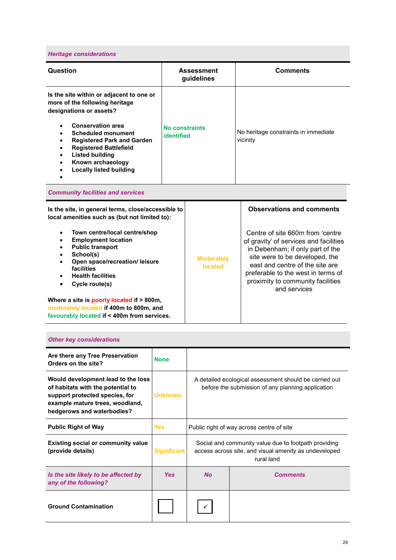#### *Heritage considerations*

| Question                                                                                                                                                                                                                                                                                                              |                                            | <b>Assessment</b><br>guidelines | <b>Comments</b>                                                                                                                                                                                                                                                                |  |  |
|-----------------------------------------------------------------------------------------------------------------------------------------------------------------------------------------------------------------------------------------------------------------------------------------------------------------------|--------------------------------------------|---------------------------------|--------------------------------------------------------------------------------------------------------------------------------------------------------------------------------------------------------------------------------------------------------------------------------|--|--|
| Is the site within or adjacent to one or<br>more of the following heritage<br>designations or assets?<br><b>Conservation area</b><br><b>Scheduled monument</b><br><b>Registered Park and Garden</b><br><b>Registered Battlefield</b><br><b>Listed building</b><br>Known archaeology<br><b>Locally listed building</b> | <b>No constraints</b><br><b>identified</b> |                                 | No heritage constraints in immediate<br>vicinity                                                                                                                                                                                                                               |  |  |
| <b>Community facilities and services</b>                                                                                                                                                                                                                                                                              |                                            |                                 |                                                                                                                                                                                                                                                                                |  |  |
| Is the site, in general terms, close/accessible to<br>local amenities such as (but not limited to):                                                                                                                                                                                                                   |                                            |                                 | <b>Observations and comments</b>                                                                                                                                                                                                                                               |  |  |
| Town centre/local centre/shop<br><b>Employment location</b><br><b>Public transport</b><br>School(s)<br>Open space/recreation/ leisure<br>facilities<br><b>Health facilities</b><br>Cycle route(s)                                                                                                                     |                                            | <b>Moderately</b><br>located    | Centre of site 660m from 'centre<br>of gravity' of services and facilities<br>in Debenham; if only part of the<br>site were to be developed, the<br>east and centre of the site are<br>preferable to the west in terms of<br>proximity to community facilities<br>and services |  |  |
| Where a site is poorly located if > 800m,<br>moderately located if 400m to 800m, and<br>favourably located if < 400m from services.                                                                                                                                                                                   |                                            |                                 |                                                                                                                                                                                                                                                                                |  |  |

| <b>Other key considerations</b>                                                                                                                                            |                    |                                                                                                                             |  |  |
|----------------------------------------------------------------------------------------------------------------------------------------------------------------------------|--------------------|-----------------------------------------------------------------------------------------------------------------------------|--|--|
| Are there any Tree Preservation<br>Orders on the site?                                                                                                                     | <b>None</b>        |                                                                                                                             |  |  |
| Would development lead to the loss<br>of habitats with the potential to<br>support protected species, for<br>example mature trees, woodland,<br>hedgerows and waterbodies? | <b>Unknown</b>     | A detailed ecological assessment should be carried out<br>before the submission of any planning application                 |  |  |
| <b>Public Right of Way</b>                                                                                                                                                 | <b>Yes</b>         | Public right of way across centre of site                                                                                   |  |  |
| <b>Existing social or community value</b><br>(provide details)                                                                                                             | <b>Significant</b> | Social and community value due to footpath providing<br>access across site, and visual amenity as undeveloped<br>rural land |  |  |
| Is the site likely to be affected by<br>any of the following?                                                                                                              | <b>Yes</b>         | <b>No</b><br><b>Comments</b>                                                                                                |  |  |
| <b>Ground Contamination</b>                                                                                                                                                |                    |                                                                                                                             |  |  |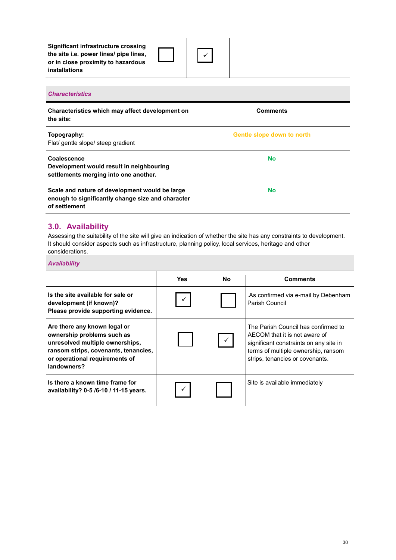**Significant infrastructure crossing the site i.e. power lines/ pipe lines, or in close proximity to hazardous installations**

# $\boxed{\checkmark}$

| <b>Characteristics</b>                                                                                               |                                   |  |  |  |
|----------------------------------------------------------------------------------------------------------------------|-----------------------------------|--|--|--|
| Characteristics which may affect development on<br>the site:                                                         | <b>Comments</b>                   |  |  |  |
| Topography:<br>Flat/ gentle slope/ steep gradient                                                                    | <b>Gentle slope down to north</b> |  |  |  |
| Coalescence<br>Development would result in neighbouring<br>settlements merging into one another.                     | <b>No</b>                         |  |  |  |
| Scale and nature of development would be large<br>enough to significantly change size and character<br>of settlement | <b>No</b>                         |  |  |  |

## **3.0. Availability**

Assessing the suitability of the site will give an indication of whether the site has any constraints to development. It should consider aspects such as infrastructure, planning policy, local services, heritage and other considerations.

#### *Availability*

|                                                                                                                                                                                        | <b>Yes</b> | No. | <b>Comments</b>                                                                                                                                                                          |
|----------------------------------------------------------------------------------------------------------------------------------------------------------------------------------------|------------|-----|------------------------------------------------------------------------------------------------------------------------------------------------------------------------------------------|
| Is the site available for sale or<br>development (if known)?<br>Please provide supporting evidence.                                                                                    |            |     | As confirmed via e-mail by Debenham.<br>Parish Council                                                                                                                                   |
| Are there any known legal or<br>ownership problems such as<br>unresolved multiple ownerships,<br>ransom strips, covenants, tenancies,<br>or operational requirements of<br>landowners? |            |     | The Parish Council has confirmed to<br>AECOM that it is not aware of<br>significant constraints on any site in<br>terms of multiple ownership, ransom<br>strips, tenancies or covenants. |
| Is there a known time frame for<br>availability? 0-5 /6-10 / 11-15 years.                                                                                                              |            |     | Site is available immediately                                                                                                                                                            |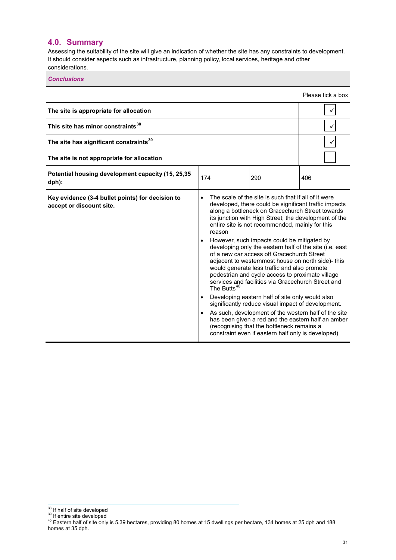## **4.0. Summary**

Assessing the suitability of the site will give an indication of whether the site has any constraints to development. It should consider aspects such as infrastructure, planning policy, local services, heritage and other considerations.

#### *Conclusions*

|                                                                              |                                                                                                                                                                                                                                                                                                                                                                                                                                                                                                                                                                                                                                                                                                                                                                                                                                                                                                                                                                                                                     |  | Please tick a box                                  |
|------------------------------------------------------------------------------|---------------------------------------------------------------------------------------------------------------------------------------------------------------------------------------------------------------------------------------------------------------------------------------------------------------------------------------------------------------------------------------------------------------------------------------------------------------------------------------------------------------------------------------------------------------------------------------------------------------------------------------------------------------------------------------------------------------------------------------------------------------------------------------------------------------------------------------------------------------------------------------------------------------------------------------------------------------------------------------------------------------------|--|----------------------------------------------------|
| The site is appropriate for allocation                                       |                                                                                                                                                                                                                                                                                                                                                                                                                                                                                                                                                                                                                                                                                                                                                                                                                                                                                                                                                                                                                     |  |                                                    |
| This site has minor constraints <sup>38</sup>                                |                                                                                                                                                                                                                                                                                                                                                                                                                                                                                                                                                                                                                                                                                                                                                                                                                                                                                                                                                                                                                     |  | ✓                                                  |
| The site has significant constraints <sup>39</sup>                           |                                                                                                                                                                                                                                                                                                                                                                                                                                                                                                                                                                                                                                                                                                                                                                                                                                                                                                                                                                                                                     |  |                                                    |
| The site is not appropriate for allocation                                   |                                                                                                                                                                                                                                                                                                                                                                                                                                                                                                                                                                                                                                                                                                                                                                                                                                                                                                                                                                                                                     |  |                                                    |
| Potential housing development capacity (15, 25,35<br>dph):                   | 406                                                                                                                                                                                                                                                                                                                                                                                                                                                                                                                                                                                                                                                                                                                                                                                                                                                                                                                                                                                                                 |  |                                                    |
| Key evidence (3-4 bullet points) for decision to<br>accept or discount site. | 174<br>290<br>The scale of the site is such that if all of it were<br>$\bullet$<br>developed, there could be significant traffic impacts<br>along a bottleneck on Gracechurch Street towards<br>its junction with High Street; the development of the<br>entire site is not recommended, mainly for this<br>reason<br>However, such impacts could be mitigated by<br>developing only the eastern half of the site (i.e. east<br>of a new car access off Gracechurch Street<br>adjacent to westernmost house on north side)-this<br>would generate less traffic and also promote<br>pedestrian and cycle access to proximate village<br>services and facilities via Gracechurch Street and<br>The Butts <sup>40</sup><br>Developing eastern half of site only would also<br>$\bullet$<br>significantly reduce visual impact of development.<br>As such, development of the western half of the site<br>$\bullet$<br>has been given a red and the eastern half an amber<br>(recognising that the bottleneck remains a |  | constraint even if eastern half only is developed) |

<span id="page-31-2"></span>

<span id="page-31-1"></span><span id="page-31-0"></span><sup>38</sup> If half of site developed<br><sup>39</sup> If entire site developed<br><sup>40</sup> Eastern half of site only is 5.39 hectares, providing 80 homes at 15 dwellings per hectare, 134 homes at 25 dph and 188 homes at 35 dph.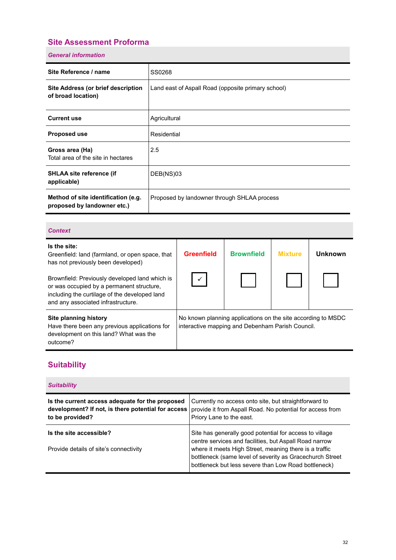# **Site Assessment Proforma**

#### *General information*

| Site Reference / name                                              | SS0268                                             |
|--------------------------------------------------------------------|----------------------------------------------------|
| <b>Site Address (or brief description</b><br>of broad location)    | Land east of Aspall Road (opposite primary school) |
| <b>Current use</b>                                                 | Agricultural                                       |
| <b>Proposed use</b>                                                | Residential                                        |
| Gross area (Ha)<br>Total area of the site in hectares              | 2.5                                                |
| <b>SHLAA site reference (if</b><br>applicable)                     | DEB(NS)03                                          |
| Method of site identification (e.g.<br>proposed by landowner etc.) | Proposed by landowner through SHLAA process        |

#### *Context*

| Is the site:<br>Greenfield: land (farmland, or open space, that<br>has not previously been developed)                                                                              | <b>Greenfield</b> | <b>Brownfield</b>                                                                                                | <b>Mixture</b> | <b>Unknown</b> |
|------------------------------------------------------------------------------------------------------------------------------------------------------------------------------------|-------------------|------------------------------------------------------------------------------------------------------------------|----------------|----------------|
| Brownfield: Previously developed land which is<br>or was occupied by a permanent structure,<br>including the curtilage of the developed land<br>and any associated infrastructure. |                   |                                                                                                                  |                |                |
| Site planning history<br>Have there been any previous applications for<br>development on this land? What was the<br>outcome?                                                       |                   | No known planning applications on the site according to MSDC<br>interactive mapping and Debenham Parish Council. |                |                |

# **Suitability**

| <b>Suitability</b>                                                                                                       |                                                                                                                                                                                                                                                                                                 |
|--------------------------------------------------------------------------------------------------------------------------|-------------------------------------------------------------------------------------------------------------------------------------------------------------------------------------------------------------------------------------------------------------------------------------------------|
| Is the current access adequate for the proposed<br>development? If not, is there potential for access<br>to be provided? | Currently no access onto site, but straightforward to<br>provide it from Aspall Road. No potential for access from<br>Priory Lane to the east.                                                                                                                                                  |
| Is the site accessible?<br>Provide details of site's connectivity                                                        | Site has generally good potential for access to village<br>centre services and facilities, but Aspall Road narrow<br>where it meets High Street, meaning there is a traffic<br>bottleneck (same level of severity as Gracechurch Street<br>bottleneck but less severe than Low Road bottleneck) |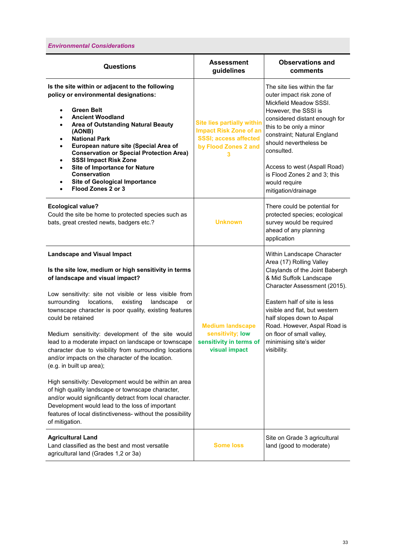#### *Environmental Considerations*

| <b>Questions</b>                                                                                                                                                                                                                                                                                                                                                                                                                                                                                                                                                                                                                                                                                                                                                                                                                                                                                      | <b>Assessment</b><br>guidelines                                                                                             | <b>Observations and</b><br>comments                                                                                                                                                                                                                                                                                                                      |
|-------------------------------------------------------------------------------------------------------------------------------------------------------------------------------------------------------------------------------------------------------------------------------------------------------------------------------------------------------------------------------------------------------------------------------------------------------------------------------------------------------------------------------------------------------------------------------------------------------------------------------------------------------------------------------------------------------------------------------------------------------------------------------------------------------------------------------------------------------------------------------------------------------|-----------------------------------------------------------------------------------------------------------------------------|----------------------------------------------------------------------------------------------------------------------------------------------------------------------------------------------------------------------------------------------------------------------------------------------------------------------------------------------------------|
| Is the site within or adjacent to the following<br>policy or environmental designations:<br><b>Green Belt</b><br><b>Ancient Woodland</b><br>Area of Outstanding Natural Beauty<br>(AONB)<br><b>National Park</b><br>European nature site (Special Area of<br><b>Conservation or Special Protection Area)</b><br><b>SSSI Impact Risk Zone</b><br><b>Site of Importance for Nature</b><br><b>Conservation</b><br><b>Site of Geological Importance</b><br>Flood Zones 2 or 3                                                                                                                                                                                                                                                                                                                                                                                                                             | <b>Site lies partially within</b><br><b>Impact Risk Zone of an</b><br><b>SSSI</b> ; access affected<br>by Flood Zones 2 and | The site lies within the far<br>outer impact risk zone of<br>Mickfield Meadow SSSI.<br>However, the SSSI is<br>considered distant enough for<br>this to be only a minor<br>constraint; Natural England<br>should nevertheless be<br>consulted.<br>Access to west (Aspall Road)<br>is Flood Zones 2 and 3; this<br>would require<br>mitigation/drainage   |
| <b>Ecological value?</b><br>Could the site be home to protected species such as<br>bats, great crested newts, badgers etc.?                                                                                                                                                                                                                                                                                                                                                                                                                                                                                                                                                                                                                                                                                                                                                                           | <b>Unknown</b>                                                                                                              | There could be potential for<br>protected species; ecological<br>survey would be required<br>ahead of any planning<br>application                                                                                                                                                                                                                        |
| <b>Landscape and Visual Impact</b><br>Is the site low, medium or high sensitivity in terms<br>of landscape and visual impact?<br>Low sensitivity: site not visible or less visible from<br>locations,<br>surrounding<br>existing<br>landscape<br>or<br>townscape character is poor quality, existing features<br>could be retained<br>Medium sensitivity: development of the site would<br>lead to a moderate impact on landscape or townscape<br>character due to visibility from surrounding locations<br>and/or impacts on the character of the location.<br>(e.g. in built up area);<br>High sensitivity: Development would be within an area<br>of high quality landscape or townscape character,<br>and/or would significantly detract from local character.<br>Development would lead to the loss of important<br>features of local distinctiveness- without the possibility<br>of mitigation. | <b>Medium landscape</b><br>sensitivity; low<br>sensitivity in terms of<br>visual impact                                     | Within Landscape Character<br>Area (17) Rolling Valley<br>Claylands of the Joint Babergh<br>& Mid Suffolk Landscape<br>Character Assessment (2015).<br>Eastern half of site is less<br>visible and flat, but western<br>half slopes down to Aspal<br>Road. However, Aspal Road is<br>on floor of small valley,<br>minimising site's wider<br>visibility. |
| <b>Agricultural Land</b><br>Land classified as the best and most versatile<br>agricultural land (Grades 1,2 or 3a)                                                                                                                                                                                                                                                                                                                                                                                                                                                                                                                                                                                                                                                                                                                                                                                    | <b>Some loss</b>                                                                                                            | Site on Grade 3 agricultural<br>land (good to moderate)                                                                                                                                                                                                                                                                                                  |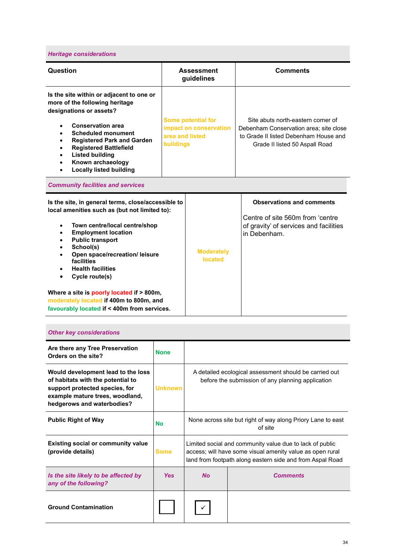#### *Heritage considerations*

| Question                                                                                                                                                                                                                                                                                                              |                                                                                            | <b>Assessment</b><br>guidelines     | <b>Comments</b>                                                                                                                                         |
|-----------------------------------------------------------------------------------------------------------------------------------------------------------------------------------------------------------------------------------------------------------------------------------------------------------------------|--------------------------------------------------------------------------------------------|-------------------------------------|---------------------------------------------------------------------------------------------------------------------------------------------------------|
| Is the site within or adjacent to one or<br>more of the following heritage<br>designations or assets?<br><b>Conservation area</b><br><b>Scheduled monument</b><br><b>Registered Park and Garden</b><br><b>Registered Battlefield</b><br><b>Listed building</b><br>Known archaeology<br><b>Locally listed building</b> | <b>Some potential for</b><br>impact on conservation<br>area and listed<br><b>buildings</b> |                                     | Site abuts north-eastern corner of<br>Debenham Conservation area; site close<br>to Grade II listed Debenham House and<br>Grade II listed 50 Aspall Road |
| <b>Community facilities and services</b>                                                                                                                                                                                                                                                                              |                                                                                            |                                     |                                                                                                                                                         |
| Is the site, in general terms, close/accessible to<br>local amenities such as (but not limited to):<br>Town centre/local centre/shop<br>$\bullet$<br><b>Employment location</b><br><b>Public transport</b><br>School(s)<br>Open space/recreation/ leisure<br>facilities<br><b>Health facilities</b><br>Cycle route(s) |                                                                                            | <b>Moderately</b><br><b>located</b> | <b>Observations and comments</b><br>Centre of site 560m from 'centre<br>of gravity' of services and facilities<br>in Debenham.                          |
| Where a site is poorly located if > 800m,<br>moderately located if 400m to 800m, and<br>favourably located if < 400m from services.                                                                                                                                                                                   |                                                                                            |                                     |                                                                                                                                                         |

#### *Other key considerations*

| Are there any Tree Preservation<br>Orders on the site?                                                                                                                     | <b>None</b>    |                                                                                                                                                                                    |  |  |
|----------------------------------------------------------------------------------------------------------------------------------------------------------------------------|----------------|------------------------------------------------------------------------------------------------------------------------------------------------------------------------------------|--|--|
| Would development lead to the loss<br>of habitats with the potential to<br>support protected species, for<br>example mature trees, woodland,<br>hedgerows and waterbodies? | <b>Unknown</b> | A detailed ecological assessment should be carried out<br>before the submission of any planning application                                                                        |  |  |
| <b>Public Right of Way</b>                                                                                                                                                 | <b>No</b>      | None across site but right of way along Priory Lane to east<br>of site                                                                                                             |  |  |
| <b>Existing social or community value</b><br>(provide details)                                                                                                             | <b>Some</b>    | Limited social and community value due to lack of public<br>access; will have some visual amenity value as open rural<br>land from footpath along eastern side and from Aspal Road |  |  |
| Is the site likely to be affected by<br>any of the following?                                                                                                              | <b>Yes</b>     | <b>No</b><br><b>Comments</b>                                                                                                                                                       |  |  |
| <b>Ground Contamination</b>                                                                                                                                                |                |                                                                                                                                                                                    |  |  |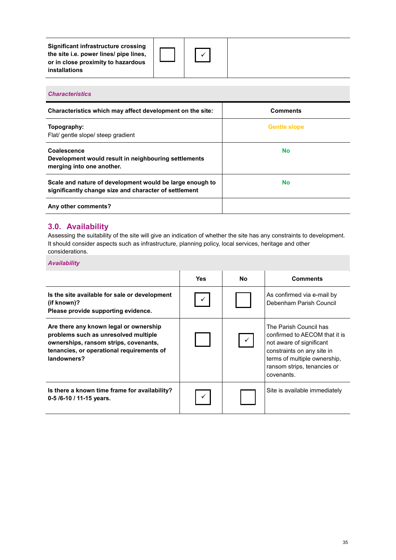**Significant infrastructure crossing the site i.e. power lines/ pipe lines, or in close proximity to hazardous installations**



| <b>Characteristics</b>                                                                                            |                     |  |  |  |  |
|-------------------------------------------------------------------------------------------------------------------|---------------------|--|--|--|--|
| Characteristics which may affect development on the site:                                                         | <b>Comments</b>     |  |  |  |  |
| Topography:<br>Flat/ gentle slope/ steep gradient                                                                 | <b>Gentle slope</b> |  |  |  |  |
| Coalescence<br>Development would result in neighbouring settlements<br>merging into one another.                  | No                  |  |  |  |  |
| Scale and nature of development would be large enough to<br>significantly change size and character of settlement | No                  |  |  |  |  |
| Any other comments?                                                                                               |                     |  |  |  |  |

## **3.0. Availability**

Assessing the suitability of the site will give an indication of whether the site has any constraints to development. It should consider aspects such as infrastructure, planning policy, local services, heritage and other considerations.

#### *Availability*

|                                                                                                                                                                                     | <b>Yes</b> | <b>No</b> | <b>Comments</b>                                                                                                                                                                                |
|-------------------------------------------------------------------------------------------------------------------------------------------------------------------------------------|------------|-----------|------------------------------------------------------------------------------------------------------------------------------------------------------------------------------------------------|
| Is the site available for sale or development<br>(if known)?<br>Please provide supporting evidence.                                                                                 |            |           | As confirmed via e-mail by<br>Debenham Parish Council                                                                                                                                          |
| Are there any known legal or ownership<br>problems such as unresolved multiple<br>ownerships, ransom strips, covenants,<br>tenancies, or operational requirements of<br>landowners? |            |           | The Parish Council has<br>confirmed to AECOM that it is<br>not aware of significant<br>constraints on any site in<br>terms of multiple ownership,<br>ransom strips, tenancies or<br>covenants. |
| Is there a known time frame for availability?<br>0-5/6-10/11-15 years.                                                                                                              |            |           | Site is available immediately                                                                                                                                                                  |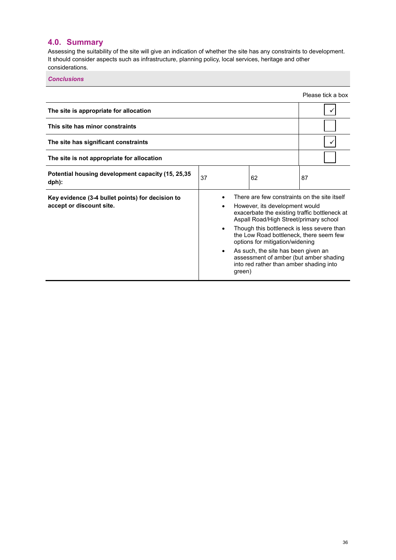## **4.0. Summary**

Assessing the suitability of the site will give an indication of whether the site has any constraints to development. It should consider aspects such as infrastructure, planning policy, local services, heritage and other considerations.

#### *Conclusions*

|                                                                              |                                                                                                                                                                                                                                                                                                                                                                                                                                                                                    |  |    | Please tick a box |
|------------------------------------------------------------------------------|------------------------------------------------------------------------------------------------------------------------------------------------------------------------------------------------------------------------------------------------------------------------------------------------------------------------------------------------------------------------------------------------------------------------------------------------------------------------------------|--|----|-------------------|
| The site is appropriate for allocation                                       |                                                                                                                                                                                                                                                                                                                                                                                                                                                                                    |  |    |                   |
| This site has minor constraints                                              |                                                                                                                                                                                                                                                                                                                                                                                                                                                                                    |  |    |                   |
| The site has significant constraints                                         |                                                                                                                                                                                                                                                                                                                                                                                                                                                                                    |  |    |                   |
| The site is not appropriate for allocation                                   |                                                                                                                                                                                                                                                                                                                                                                                                                                                                                    |  |    |                   |
| Potential housing development capacity (15, 25,35)<br>dph):                  | 37                                                                                                                                                                                                                                                                                                                                                                                                                                                                                 |  | 62 | 87                |
| Key evidence (3-4 bullet points) for decision to<br>accept or discount site. | There are few constraints on the site itself<br>However, its development would<br>$\bullet$<br>exacerbate the existing traffic bottleneck at<br>Aspall Road/High Street/primary school<br>Though this bottleneck is less severe than<br>$\bullet$<br>the Low Road bottleneck, there seem few<br>options for mitigation/widening<br>As such, the site has been given an<br>$\bullet$<br>assessment of amber (but amber shading<br>into red rather than amber shading into<br>green) |  |    |                   |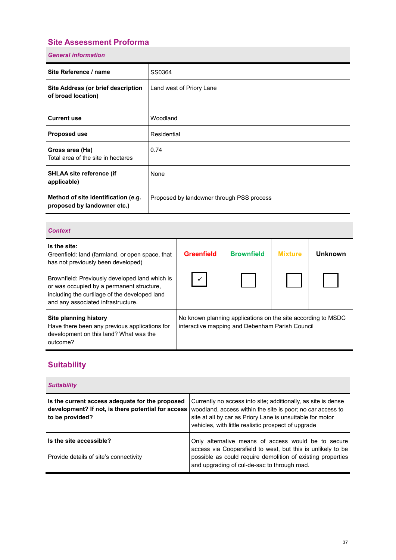# **Site Assessment Proforma**

### *General information*

| Site Reference / name                                              | SS0364                                    |
|--------------------------------------------------------------------|-------------------------------------------|
| <b>Site Address (or brief description</b><br>of broad location)    | Land west of Priory Lane                  |
| <b>Current use</b>                                                 | Woodland                                  |
| <b>Proposed use</b>                                                | Residential                               |
| Gross area (Ha)<br>Total area of the site in hectares              | 0.74                                      |
| <b>SHLAA site reference (if</b><br>applicable)                     | None                                      |
| Method of site identification (e.g.<br>proposed by landowner etc.) | Proposed by landowner through PSS process |

#### *Context*

| Is the site:<br>Greenfield: land (farmland, or open space, that<br>has not previously been developed)                                                                              | <b>Greenfield</b> | <b>Brownfield</b>                                                                                               | <b>Mixture</b> | <b>Unknown</b> |
|------------------------------------------------------------------------------------------------------------------------------------------------------------------------------------|-------------------|-----------------------------------------------------------------------------------------------------------------|----------------|----------------|
| Brownfield: Previously developed land which is<br>or was occupied by a permanent structure,<br>including the curtilage of the developed land<br>and any associated infrastructure. |                   |                                                                                                                 |                |                |
| Site planning history<br>Have there been any previous applications for<br>development on this land? What was the<br>outcome?                                                       |                   | No known planning applications on the site according to MSDC<br>interactive mapping and Debenham Parish Council |                |                |

# **Suitability**

| <b>Suitability</b>                                                                                                       |                                                                                                                                                                                                                                                 |
|--------------------------------------------------------------------------------------------------------------------------|-------------------------------------------------------------------------------------------------------------------------------------------------------------------------------------------------------------------------------------------------|
| Is the current access adequate for the proposed<br>development? If not, is there potential for access<br>to be provided? | Currently no access into site; additionally, as site is dense<br>woodland, access within the site is poor; no car access to<br>site at all by car as Priory Lane is unsuitable for motor<br>vehicles, with little realistic prospect of upgrade |
| Is the site accessible?<br>Provide details of site's connectivity                                                        | Only alternative means of access would be to secure<br>access via Coopersfield to west, but this is unlikely to be<br>possible as could require demolition of existing properties<br>and upgrading of cul-de-sac to through road.               |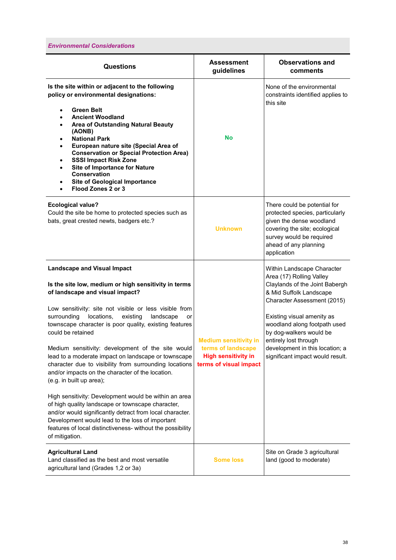#### *Environmental Considerations*

| Questions                                                                                                                                                                                                                                                                                                                                                                                                                                                                                                                                                                                                                                                                                                                                                                                                                                                                                             | <b>Assessment</b><br>guidelines                                                                            | <b>Observations and</b><br>comments                                                                                                                                                                                                                                                                                                         |
|-------------------------------------------------------------------------------------------------------------------------------------------------------------------------------------------------------------------------------------------------------------------------------------------------------------------------------------------------------------------------------------------------------------------------------------------------------------------------------------------------------------------------------------------------------------------------------------------------------------------------------------------------------------------------------------------------------------------------------------------------------------------------------------------------------------------------------------------------------------------------------------------------------|------------------------------------------------------------------------------------------------------------|---------------------------------------------------------------------------------------------------------------------------------------------------------------------------------------------------------------------------------------------------------------------------------------------------------------------------------------------|
| Is the site within or adjacent to the following<br>policy or environmental designations:<br><b>Green Belt</b><br><b>Ancient Woodland</b><br>Area of Outstanding Natural Beauty<br>(AONB)<br><b>National Park</b><br>European nature site (Special Area of<br><b>Conservation or Special Protection Area)</b><br><b>SSSI Impact Risk Zone</b><br><b>Site of Importance for Nature</b><br><b>Conservation</b><br><b>Site of Geological Importance</b><br>Flood Zones 2 or 3                                                                                                                                                                                                                                                                                                                                                                                                                             | <b>No</b>                                                                                                  | None of the environmental<br>constraints identified applies to<br>this site                                                                                                                                                                                                                                                                 |
| <b>Ecological value?</b><br>Could the site be home to protected species such as<br>bats, great crested newts, badgers etc.?                                                                                                                                                                                                                                                                                                                                                                                                                                                                                                                                                                                                                                                                                                                                                                           | <b>Unknown</b>                                                                                             | There could be potential for<br>protected species, particularly<br>given the dense woodland<br>covering the site; ecological<br>survey would be required<br>ahead of any planning<br>application                                                                                                                                            |
| <b>Landscape and Visual Impact</b><br>Is the site low, medium or high sensitivity in terms<br>of landscape and visual impact?<br>Low sensitivity: site not visible or less visible from<br>locations.<br>surrounding<br>existing<br>landscape<br>or<br>townscape character is poor quality, existing features<br>could be retained<br>Medium sensitivity: development of the site would<br>lead to a moderate impact on landscape or townscape<br>character due to visibility from surrounding locations<br>and/or impacts on the character of the location.<br>(e.g. in built up area);<br>High sensitivity: Development would be within an area<br>of high quality landscape or townscape character,<br>and/or would significantly detract from local character.<br>Development would lead to the loss of important<br>features of local distinctiveness- without the possibility<br>of mitigation. | <b>Medium sensitivity in</b><br>terms of landscape<br><b>High sensitivity in</b><br>terms of visual impact | Within Landscape Character<br>Area (17) Rolling Valley<br>Claylands of the Joint Babergh<br>& Mid Suffolk Landscape<br>Character Assessment (2015)<br>Existing visual amenity as<br>woodland along footpath used<br>by dog-walkers would be<br>entirely lost through<br>development in this location; a<br>significant impact would result. |
| <b>Agricultural Land</b><br>Land classified as the best and most versatile<br>agricultural land (Grades 1,2 or 3a)                                                                                                                                                                                                                                                                                                                                                                                                                                                                                                                                                                                                                                                                                                                                                                                    | <b>Some loss</b>                                                                                           | Site on Grade 3 agricultural<br>land (good to moderate)                                                                                                                                                                                                                                                                                     |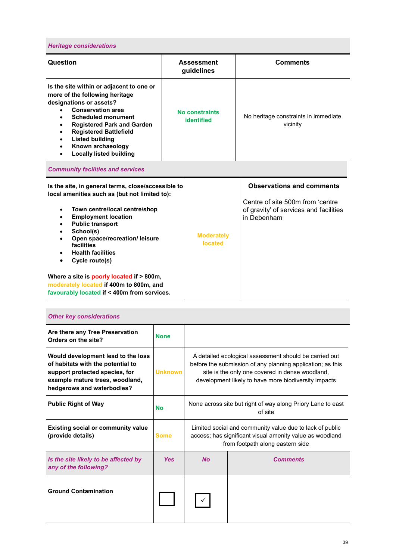#### *Heritage considerations*

| Question                                                                                                                                                                                                                                                                                                              | <b>Assessment</b><br>guidelines            | <b>Comments</b>                                                                                                               |
|-----------------------------------------------------------------------------------------------------------------------------------------------------------------------------------------------------------------------------------------------------------------------------------------------------------------------|--------------------------------------------|-------------------------------------------------------------------------------------------------------------------------------|
| Is the site within or adjacent to one or<br>more of the following heritage<br>designations or assets?<br><b>Conservation area</b><br><b>Scheduled monument</b><br><b>Registered Park and Garden</b><br><b>Registered Battlefield</b><br><b>Listed building</b><br>Known archaeology<br><b>Locally listed building</b> | <b>No constraints</b><br><b>identified</b> | No heritage constraints in immediate<br>vicinity                                                                              |
| <b>Community facilities and services</b>                                                                                                                                                                                                                                                                              |                                            |                                                                                                                               |
| Is the site, in general terms, close/accessible to<br>local amenities such as (but not limited to):<br>Town centre/local centre/shop<br><b>Employment location</b><br>$\bullet$<br><b>Public transport</b><br>School(s)<br>Open space/recreation/ leisure<br>facilities<br><b>Health facilities</b><br>Cycle route(s) | <b>Moderately</b><br><b>located</b>        | <b>Observations and comments</b><br>Centre of site 500m from 'centre<br>of gravity' of services and facilities<br>in Debenham |
| Where a site is poorly located if > 800m,<br>moderately located if 400m to 800m, and<br>favourably located if < 400m from services.                                                                                                                                                                                   |                                            |                                                                                                                               |

| <b>Other key considerations</b>                                                                                                                                            |                |                                                                                                                                                                                                                                 |                 |
|----------------------------------------------------------------------------------------------------------------------------------------------------------------------------|----------------|---------------------------------------------------------------------------------------------------------------------------------------------------------------------------------------------------------------------------------|-----------------|
| Are there any Tree Preservation<br>Orders on the site?                                                                                                                     | <b>None</b>    |                                                                                                                                                                                                                                 |                 |
| Would development lead to the loss<br>of habitats with the potential to<br>support protected species, for<br>example mature trees, woodland,<br>hedgerows and waterbodies? | <b>Unknown</b> | A detailed ecological assessment should be carried out<br>before the submission of any planning application; as this<br>site is the only one covered in dense woodland,<br>development likely to have more biodiversity impacts |                 |
| <b>Public Right of Way</b>                                                                                                                                                 | <b>No</b>      | None across site but right of way along Priory Lane to east<br>of site                                                                                                                                                          |                 |
| <b>Existing social or community value</b><br>(provide details)                                                                                                             | <b>Some</b>    | Limited social and community value due to lack of public<br>access; has significant visual amenity value as woodland<br>from footpath along eastern side                                                                        |                 |
| Is the site likely to be affected by<br>any of the following?                                                                                                              | <b>Yes</b>     | <b>No</b>                                                                                                                                                                                                                       | <b>Comments</b> |
| <b>Ground Contamination</b>                                                                                                                                                |                |                                                                                                                                                                                                                                 |                 |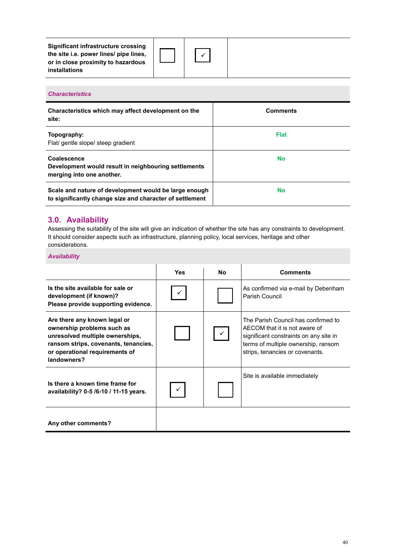**Significant infrastructure crossing the site i.e. power lines/ pipe lines, or in close proximity to hazardous installations**

| <b>Characteristics</b>                                                                                            |                 |
|-------------------------------------------------------------------------------------------------------------------|-----------------|
| Characteristics which may affect development on the<br>site:                                                      | <b>Comments</b> |
| Topography:<br>Flat/ gentle slope/ steep gradient                                                                 | <b>Flat</b>     |
| Coalescence<br>Development would result in neighbouring settlements<br>merging into one another.                  | <b>No</b>       |
| Scale and nature of development would be large enough<br>to significantly change size and character of settlement | <b>No</b>       |

## **3.0. Availability**

Assessing the suitability of the site will give an indication of whether the site has any constraints to development. It should consider aspects such as infrastructure, planning policy, local services, heritage and other considerations.

| <b>Availability</b>                                                                                                                                                                    |            |           |                                                                                                                                                                                          |
|----------------------------------------------------------------------------------------------------------------------------------------------------------------------------------------|------------|-----------|------------------------------------------------------------------------------------------------------------------------------------------------------------------------------------------|
|                                                                                                                                                                                        | <b>Yes</b> | <b>No</b> | <b>Comments</b>                                                                                                                                                                          |
| Is the site available for sale or<br>development (if known)?<br>Please provide supporting evidence.                                                                                    |            |           | As confirmed via e-mail by Debenham<br>Parish Council                                                                                                                                    |
| Are there any known legal or<br>ownership problems such as<br>unresolved multiple ownerships,<br>ransom strips, covenants, tenancies,<br>or operational requirements of<br>landowners? |            |           | The Parish Council has confirmed to<br>AFCOM that it is not aware of<br>significant constraints on any site in<br>terms of multiple ownership, ransom<br>strips, tenancies or covenants. |
| Is there a known time frame for<br>availability? 0-5 /6-10 / 11-15 years.                                                                                                              |            |           | Site is available immediately                                                                                                                                                            |
| Any other comments?                                                                                                                                                                    |            |           |                                                                                                                                                                                          |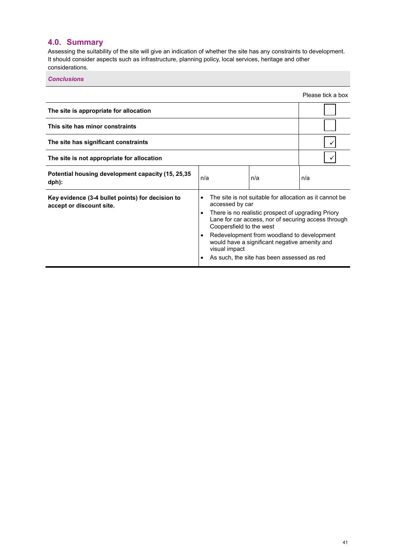## **4.0. Summary**

Assessing the suitability of the site will give an indication of whether the site has any constraints to development. It should consider aspects such as infrastructure, planning policy, local services, heritage and other considerations.

#### *Conclusions*

|                                                                              |                                                                                                                                                                                                                                                                                                                                                                                   |     | Please tick a box |
|------------------------------------------------------------------------------|-----------------------------------------------------------------------------------------------------------------------------------------------------------------------------------------------------------------------------------------------------------------------------------------------------------------------------------------------------------------------------------|-----|-------------------|
| The site is appropriate for allocation                                       |                                                                                                                                                                                                                                                                                                                                                                                   |     |                   |
| This site has minor constraints                                              |                                                                                                                                                                                                                                                                                                                                                                                   |     |                   |
| The site has significant constraints                                         |                                                                                                                                                                                                                                                                                                                                                                                   |     |                   |
| The site is not appropriate for allocation                                   |                                                                                                                                                                                                                                                                                                                                                                                   |     |                   |
| Potential housing development capacity (15, 25,35<br>dph):                   | n/a                                                                                                                                                                                                                                                                                                                                                                               | n/a | n/a               |
| Key evidence (3-4 bullet points) for decision to<br>accept or discount site. | The site is not suitable for allocation as it cannot be<br>accessed by car<br>There is no realistic prospect of upgrading Priory<br>Lane for car access, nor of securing access through<br>Coopersfield to the west<br>Redevelopment from woodland to development<br>would have a significant negative amenity and<br>visual impact<br>As such, the site has been assessed as red |     |                   |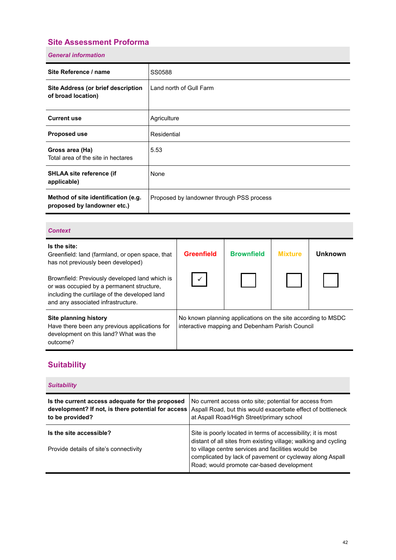# **Site Assessment Proforma**

#### *General information*

| Site Reference / name                                              | SS0588                                    |
|--------------------------------------------------------------------|-------------------------------------------|
| <b>Site Address (or brief description</b><br>of broad location)    | Land north of Gull Farm                   |
| <b>Current use</b>                                                 | Agriculture                               |
| <b>Proposed use</b>                                                | Residential                               |
| Gross area (Ha)<br>Total area of the site in hectares              | 5.53                                      |
| <b>SHLAA site reference (if</b><br>applicable)                     | None                                      |
| Method of site identification (e.g.<br>proposed by landowner etc.) | Proposed by landowner through PSS process |

#### *Context*

| Is the site:<br>Greenfield: land (farmland, or open space, that<br>has not previously been developed)                                                                              | Greenfield | <b>Brownfield</b>                                                                                               | <b>Mixture</b> | Unknown |
|------------------------------------------------------------------------------------------------------------------------------------------------------------------------------------|------------|-----------------------------------------------------------------------------------------------------------------|----------------|---------|
| Brownfield: Previously developed land which is<br>or was occupied by a permanent structure,<br>including the curtilage of the developed land<br>and any associated infrastructure. |            |                                                                                                                 |                |         |
| Site planning history<br>Have there been any previous applications for<br>development on this land? What was the<br>outcome?                                                       |            | No known planning applications on the site according to MSDC<br>interactive mapping and Debenham Parish Council |                |         |

# **Suitability**

| <b>Suitability</b>                                                                                                       |                                                                                                                                                                                                                                                                                                |
|--------------------------------------------------------------------------------------------------------------------------|------------------------------------------------------------------------------------------------------------------------------------------------------------------------------------------------------------------------------------------------------------------------------------------------|
| Is the current access adequate for the proposed<br>development? If not, is there potential for access<br>to be provided? | No current access onto site; potential for access from<br>Aspall Road, but this would exacerbate effect of bottleneck<br>at Aspall Road/High Street/primary school                                                                                                                             |
| Is the site accessible?<br>Provide details of site's connectivity                                                        | Site is poorly located in terms of accessibility; it is most<br>distant of all sites from existing village; walking and cycling<br>to village centre services and facilities would be<br>complicated by lack of pavement or cycleway along Aspall<br>Road; would promote car-based development |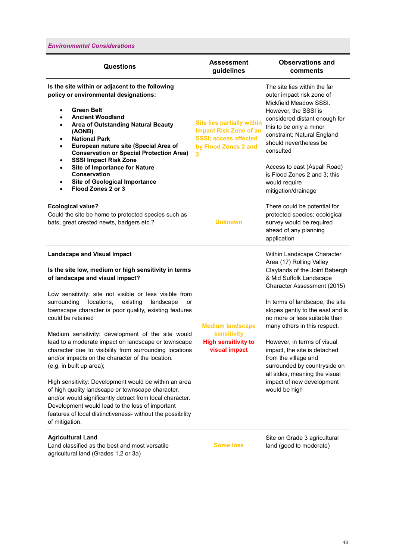#### *Environmental Considerations*

| <b>Questions</b>                                                                                                                                                                                                                                                                                                                                                                                                                                                                                                                                                                                                                                                                                                                                                                                                                                                                                      | <b>Assessment</b><br>guidelines                                                                                                  | <b>Observations and</b><br>comments                                                                                                                                                                                                                                                                                                                                                                                                                                                              |
|-------------------------------------------------------------------------------------------------------------------------------------------------------------------------------------------------------------------------------------------------------------------------------------------------------------------------------------------------------------------------------------------------------------------------------------------------------------------------------------------------------------------------------------------------------------------------------------------------------------------------------------------------------------------------------------------------------------------------------------------------------------------------------------------------------------------------------------------------------------------------------------------------------|----------------------------------------------------------------------------------------------------------------------------------|--------------------------------------------------------------------------------------------------------------------------------------------------------------------------------------------------------------------------------------------------------------------------------------------------------------------------------------------------------------------------------------------------------------------------------------------------------------------------------------------------|
| Is the site within or adjacent to the following<br>policy or environmental designations:<br><b>Green Belt</b><br><b>Ancient Woodland</b><br><b>Area of Outstanding Natural Beauty</b><br>(AONB)<br><b>National Park</b><br>European nature site (Special Area of<br><b>Conservation or Special Protection Area)</b><br><b>SSSI Impact Risk Zone</b><br>$\bullet$<br><b>Site of Importance for Nature</b><br><b>Conservation</b><br><b>Site of Geological Importance</b><br>Flood Zones 2 or 3                                                                                                                                                                                                                                                                                                                                                                                                         | <b>Site lies partially within</b><br><b>Impact Risk Zone of an</b><br><b>SSSI</b> ; access affected<br>by Flood Zones 2 and<br>3 | The site lies within the far<br>outer impact risk zone of<br>Mickfield Meadow SSSI.<br>However, the SSSI is<br>considered distant enough for<br>this to be only a minor<br>constraint; Natural England<br>should nevertheless be<br>consulted<br>Access to east (Aspall Road)<br>is Flood Zones 2 and 3; this<br>would require<br>mitigation/drainage                                                                                                                                            |
| <b>Ecological value?</b><br>Could the site be home to protected species such as<br>bats, great crested newts, badgers etc.?                                                                                                                                                                                                                                                                                                                                                                                                                                                                                                                                                                                                                                                                                                                                                                           | <b>Unknown</b>                                                                                                                   | There could be potential for<br>protected species; ecological<br>survey would be required<br>ahead of any planning<br>application                                                                                                                                                                                                                                                                                                                                                                |
| <b>Landscape and Visual Impact</b><br>Is the site low, medium or high sensitivity in terms<br>of landscape and visual impact?<br>Low sensitivity: site not visible or less visible from<br>locations,<br>surrounding<br>existing<br>landscape<br>or<br>townscape character is poor quality, existing features<br>could be retained<br>Medium sensitivity: development of the site would<br>lead to a moderate impact on landscape or townscape<br>character due to visibility from surrounding locations<br>and/or impacts on the character of the location.<br>(e.g. in built up area);<br>High sensitivity: Development would be within an area<br>of high quality landscape or townscape character,<br>and/or would significantly detract from local character.<br>Development would lead to the loss of important<br>features of local distinctiveness- without the possibility<br>of mitigation. | <b>Medium landscape</b><br>sensitivity<br><b>High sensitivity to</b><br>visual impact                                            | Within Landscape Character<br>Area (17) Rolling Valley<br>Claylands of the Joint Babergh<br>& Mid Suffolk Landscape<br>Character Assessment (2015)<br>In terms of landscape, the site<br>slopes gently to the east and is<br>no more or less suitable than<br>many others in this respect.<br>However, in terms of visual<br>impact, the site is detached<br>from the village and<br>surrounded by countryside on<br>all sides, meaning the visual<br>impact of new development<br>would be high |
| <b>Agricultural Land</b><br>Land classified as the best and most versatile<br>agricultural land (Grades 1,2 or 3a)                                                                                                                                                                                                                                                                                                                                                                                                                                                                                                                                                                                                                                                                                                                                                                                    | <b>Some loss</b>                                                                                                                 | Site on Grade 3 agricultural<br>land (good to moderate)                                                                                                                                                                                                                                                                                                                                                                                                                                          |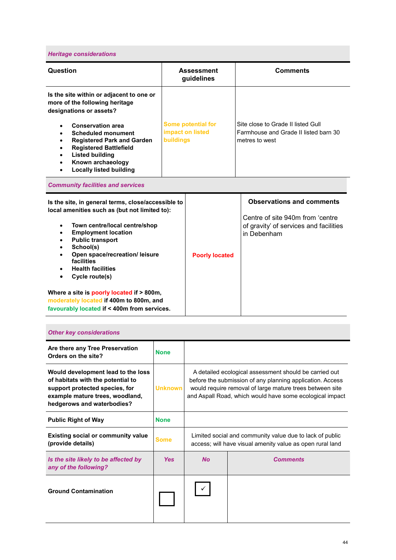#### *Heritage considerations*

| Question                                                                                                                                                                                                                                                                                                                                        |                                                                   | <b>Assessment</b><br>guidelines | <b>Comments</b>                                                                                                               |
|-------------------------------------------------------------------------------------------------------------------------------------------------------------------------------------------------------------------------------------------------------------------------------------------------------------------------------------------------|-------------------------------------------------------------------|---------------------------------|-------------------------------------------------------------------------------------------------------------------------------|
| Is the site within or adjacent to one or<br>more of the following heritage<br>designations or assets?<br><b>Conservation area</b><br><b>Scheduled monument</b><br><b>Registered Park and Garden</b><br><b>Registered Battlefield</b><br><b>Listed building</b><br>Known archaeology<br>$\bullet$<br><b>Locally listed building</b><br>$\bullet$ | <b>Some potential for</b><br>impact on listed<br><b>buildings</b> |                                 | Site close to Grade II listed Gull<br>Farmhouse and Grade II listed barn 30<br>metres to west                                 |
| <b>Community facilities and services</b>                                                                                                                                                                                                                                                                                                        |                                                                   |                                 |                                                                                                                               |
| Is the site, in general terms, close/accessible to<br>local amenities such as (but not limited to):<br>Town centre/local centre/shop<br><b>Employment location</b><br>٠<br><b>Public transport</b><br>School(s)<br>Open space/recreation/ leisure<br>facilities<br><b>Health facilities</b><br>Cycle route(s)                                   |                                                                   | <b>Poorly located</b>           | <b>Observations and comments</b><br>Centre of site 940m from 'centre<br>of gravity' of services and facilities<br>in Debenham |
| Where a site is poorly located if > 800m,<br>moderately located if 400m to 800m, and<br>favourably located if < 400m from services.                                                                                                                                                                                                             |                                                                   |                                 |                                                                                                                               |

#### *Other key considerations*

| Are there any Tree Preservation<br>Orders on the site?                                                                                                                     | <b>None</b>    |                                                                                                                                                                                                                                             |                 |  |
|----------------------------------------------------------------------------------------------------------------------------------------------------------------------------|----------------|---------------------------------------------------------------------------------------------------------------------------------------------------------------------------------------------------------------------------------------------|-----------------|--|
| Would development lead to the loss<br>of habitats with the potential to<br>support protected species, for<br>example mature trees, woodland,<br>hedgerows and waterbodies? | <b>Unknown</b> | A detailed ecological assessment should be carried out<br>before the submission of any planning application. Access<br>would require removal of large mature trees between site<br>and Aspall Road, which would have some ecological impact |                 |  |
| <b>Public Right of Way</b>                                                                                                                                                 | <b>None</b>    |                                                                                                                                                                                                                                             |                 |  |
| <b>Existing social or community value</b><br>(provide details)                                                                                                             | <b>Some</b>    | Limited social and community value due to lack of public<br>access; will have visual amenity value as open rural land                                                                                                                       |                 |  |
| Is the site likely to be affected by<br>any of the following?                                                                                                              | <b>Yes</b>     | <b>No</b>                                                                                                                                                                                                                                   | <b>Comments</b> |  |
| <b>Ground Contamination</b>                                                                                                                                                |                |                                                                                                                                                                                                                                             |                 |  |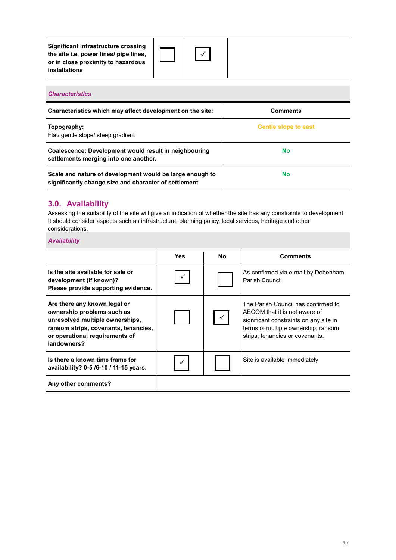**Significant infrastructure crossing the site i.e. power lines/ pipe lines, or in close proximity to hazardous installations**



| <b>Characteristics</b>                                                                                            |                             |  |  |  |
|-------------------------------------------------------------------------------------------------------------------|-----------------------------|--|--|--|
| Characteristics which may affect development on the site:                                                         | <b>Comments</b>             |  |  |  |
| Topography:<br>Flat/ gentle slope/ steep gradient                                                                 | <b>Gentle slope to east</b> |  |  |  |
| Coalescence: Development would result in neighbouring<br>settlements merging into one another.                    | <b>No</b>                   |  |  |  |
| Scale and nature of development would be large enough to<br>significantly change size and character of settlement | <b>No</b>                   |  |  |  |

## **3.0. Availability**

Assessing the suitability of the site will give an indication of whether the site has any constraints to development. It should consider aspects such as infrastructure, planning policy, local services, heritage and other considerations.

#### *Availability*

|                                                                                                                                                                                        | <b>Yes</b> | <b>No</b> | <b>Comments</b>                                                                                                                                                                          |
|----------------------------------------------------------------------------------------------------------------------------------------------------------------------------------------|------------|-----------|------------------------------------------------------------------------------------------------------------------------------------------------------------------------------------------|
| Is the site available for sale or<br>development (if known)?<br>Please provide supporting evidence.                                                                                    |            |           | As confirmed via e-mail by Debenham<br>Parish Council                                                                                                                                    |
| Are there any known legal or<br>ownership problems such as<br>unresolved multiple ownerships,<br>ransom strips, covenants, tenancies,<br>or operational requirements of<br>landowners? |            |           | The Parish Council has confirmed to<br>AECOM that it is not aware of<br>significant constraints on any site in<br>terms of multiple ownership, ransom<br>strips, tenancies or covenants. |
| Is there a known time frame for<br>availability? 0-5 /6-10 / 11-15 years.                                                                                                              |            |           | Site is available immediately                                                                                                                                                            |
| Any other comments?                                                                                                                                                                    |            |           |                                                                                                                                                                                          |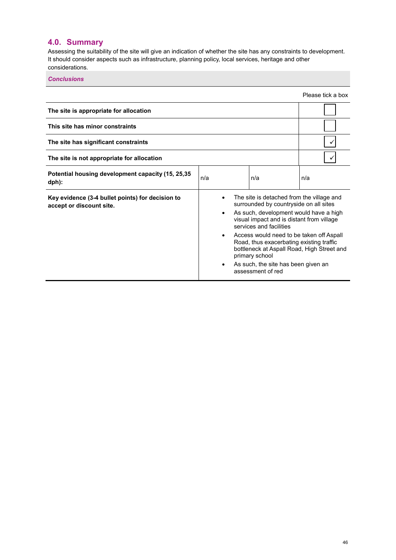## **4.0. Summary**

Assessing the suitability of the site will give an indication of whether the site has any constraints to development. It should consider aspects such as infrastructure, planning policy, local services, heritage and other considerations.

#### *Conclusions*

|                                                                              |                                                                                                                                                                                                                                                                                                                                                                                                                                                                  |     | Please tick a box |
|------------------------------------------------------------------------------|------------------------------------------------------------------------------------------------------------------------------------------------------------------------------------------------------------------------------------------------------------------------------------------------------------------------------------------------------------------------------------------------------------------------------------------------------------------|-----|-------------------|
| The site is appropriate for allocation                                       |                                                                                                                                                                                                                                                                                                                                                                                                                                                                  |     |                   |
| This site has minor constraints                                              |                                                                                                                                                                                                                                                                                                                                                                                                                                                                  |     |                   |
| The site has significant constraints                                         |                                                                                                                                                                                                                                                                                                                                                                                                                                                                  |     |                   |
| The site is not appropriate for allocation                                   |                                                                                                                                                                                                                                                                                                                                                                                                                                                                  |     |                   |
| Potential housing development capacity (15, 25,35)<br>dph):                  | n/a                                                                                                                                                                                                                                                                                                                                                                                                                                                              | n/a | n/a               |
| Key evidence (3-4 bullet points) for decision to<br>accept or discount site. | The site is detached from the village and<br>$\bullet$<br>surrounded by countryside on all sites<br>As such, development would have a high<br>$\bullet$<br>visual impact and is distant from village<br>services and facilities<br>Access would need to be taken off Aspall<br>$\bullet$<br>Road, thus exacerbating existing traffic<br>bottleneck at Aspall Road, High Street and<br>primary school<br>As such, the site has been given an<br>assessment of red |     |                   |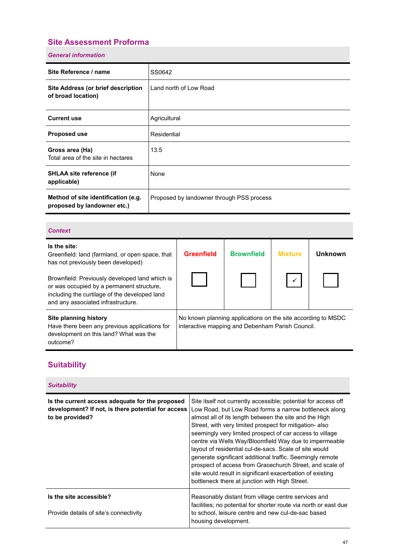# **Site Assessment Proforma**

#### *General information*

| Site Reference / name                                              | SS0642                                    |
|--------------------------------------------------------------------|-------------------------------------------|
| <b>Site Address (or brief description</b><br>of broad location)    | Land north of Low Road                    |
| <b>Current use</b>                                                 | Agricultural                              |
| <b>Proposed use</b>                                                | Residential                               |
| Gross area (Ha)<br>Total area of the site in hectares              | 13.5                                      |
| <b>SHLAA site reference (if</b><br>applicable)                     | None                                      |
| Method of site identification (e.g.<br>proposed by landowner etc.) | Proposed by landowner through PSS process |

#### *Context*

| Is the site:<br>Greenfield: land (farmland, or open space, that<br>has not previously been developed)                                                                              | <b>Greenfield</b> | <b>Brownfield</b>                                                                                                | <b>Mixture</b> | <b>Unknown</b> |
|------------------------------------------------------------------------------------------------------------------------------------------------------------------------------------|-------------------|------------------------------------------------------------------------------------------------------------------|----------------|----------------|
| Brownfield: Previously developed land which is<br>or was occupied by a permanent structure,<br>including the curtilage of the developed land<br>and any associated infrastructure. |                   |                                                                                                                  |                |                |
| Site planning history<br>Have there been any previous applications for<br>development on this land? What was the<br>outcome?                                                       |                   | No known planning applications on the site according to MSDC<br>interactive mapping and Debenham Parish Council. |                |                |

# **Suitability**

| <b>Suitability</b>                                                                                                       |                                                                                                                                                                                                                                                                                                                                                                                                                                                                                                                                                                                                                                                                      |
|--------------------------------------------------------------------------------------------------------------------------|----------------------------------------------------------------------------------------------------------------------------------------------------------------------------------------------------------------------------------------------------------------------------------------------------------------------------------------------------------------------------------------------------------------------------------------------------------------------------------------------------------------------------------------------------------------------------------------------------------------------------------------------------------------------|
| Is the current access adequate for the proposed<br>development? If not, is there potential for access<br>to be provided? | Site itself not currently accessible; potential for access off<br>Low Road, but Low Road forms a narrow bottleneck along<br>almost all of its length between the site and the High<br>Street, with very limited prospect for mitigation-also<br>seemingly very limited prospect of car access to village<br>centre via Wells Way/Bloomfield Way due to impermeable<br>layout of residential cul-de-sacs. Scale of site would<br>generate significant additional traffic. Seemingly remote<br>prospect of access from Gracechurch Street, and scale of<br>site would result in significant exacerbation of existing<br>bottleneck there at junction with High Street. |
| Is the site accessible?<br>Provide details of site's connectivity                                                        | Reasonably distant from village centre services and<br>facilities; no potential for shorter route via north or east due<br>to school, leisure centre and new cul-de-sac based<br>housing development.                                                                                                                                                                                                                                                                                                                                                                                                                                                                |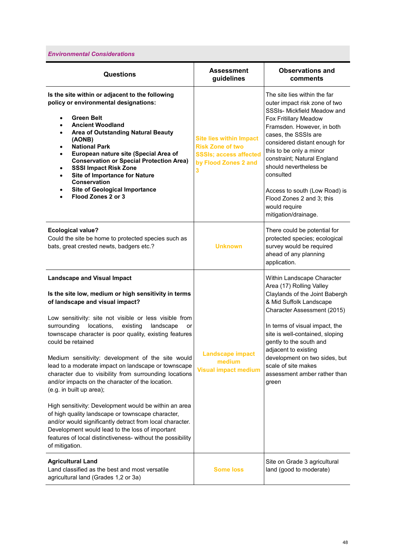#### *Environmental Considerations*

| Questions                                                                                                                                                                                                                                                                                                                                                                                                                                                                                                                                                                                                                                                                                                                                                                                                                                                                                             | Assessment<br>guidelines                                                                                                | <b>Observations and</b><br>comments                                                                                                                                                                                                                                                                                                                                                                                  |
|-------------------------------------------------------------------------------------------------------------------------------------------------------------------------------------------------------------------------------------------------------------------------------------------------------------------------------------------------------------------------------------------------------------------------------------------------------------------------------------------------------------------------------------------------------------------------------------------------------------------------------------------------------------------------------------------------------------------------------------------------------------------------------------------------------------------------------------------------------------------------------------------------------|-------------------------------------------------------------------------------------------------------------------------|----------------------------------------------------------------------------------------------------------------------------------------------------------------------------------------------------------------------------------------------------------------------------------------------------------------------------------------------------------------------------------------------------------------------|
| Is the site within or adjacent to the following<br>policy or environmental designations:<br><b>Green Belt</b><br><b>Ancient Woodland</b><br>Area of Outstanding Natural Beauty<br>(AONB)<br><b>National Park</b><br>European nature site (Special Area of<br><b>Conservation or Special Protection Area)</b><br><b>SSSI Impact Risk Zone</b><br><b>Site of Importance for Nature</b><br><b>Conservation</b><br><b>Site of Geological Importance</b><br>Flood Zones 2 or 3                                                                                                                                                                                                                                                                                                                                                                                                                             | <b>Site lies within Impact</b><br><b>Risk Zone of two</b><br><b>SSSIs; access affected</b><br>by Flood Zones 2 and<br>3 | The site lies within the far<br>outer impact risk zone of two<br>SSSIs- Mickfield Meadow and<br>Fox Fritillary Meadow<br>Framsden. However, in both<br>cases, the SSSIs are<br>considered distant enough for<br>this to be only a minor<br>constraint; Natural England<br>should nevertheless be<br>consulted<br>Access to south (Low Road) is<br>Flood Zones 2 and 3; this<br>would require<br>mitigation/drainage. |
| <b>Ecological value?</b><br>Could the site be home to protected species such as<br>bats, great crested newts, badgers etc.?                                                                                                                                                                                                                                                                                                                                                                                                                                                                                                                                                                                                                                                                                                                                                                           | <b>Unknown</b>                                                                                                          | There could be potential for<br>protected species; ecological<br>survey would be required<br>ahead of any planning<br>application.                                                                                                                                                                                                                                                                                   |
| <b>Landscape and Visual Impact</b><br>Is the site low, medium or high sensitivity in terms<br>of landscape and visual impact?<br>Low sensitivity: site not visible or less visible from<br>surrounding<br>locations,<br>existing<br>landscape<br>or<br>townscape character is poor quality, existing features<br>could be retained<br>Medium sensitivity: development of the site would<br>lead to a moderate impact on landscape or townscape<br>character due to visibility from surrounding locations<br>and/or impacts on the character of the location.<br>(e.g. in built up area);<br>High sensitivity: Development would be within an area<br>of high quality landscape or townscape character,<br>and/or would significantly detract from local character.<br>Development would lead to the loss of important<br>features of local distinctiveness- without the possibility<br>of mitigation. | <b>Landscape impact</b><br>medium<br><b>Visual impact medium</b>                                                        | Within Landscape Character<br>Area (17) Rolling Valley<br>Claylands of the Joint Babergh<br>& Mid Suffolk Landscape<br>Character Assessment (2015)<br>In terms of visual impact, the<br>site is well-contained, sloping<br>gently to the south and<br>adjacent to existing<br>development on two sides, but<br>scale of site makes<br>assessment amber rather than<br>green                                          |
| <b>Agricultural Land</b><br>Land classified as the best and most versatile<br>agricultural land (Grades 1,2 or 3a)                                                                                                                                                                                                                                                                                                                                                                                                                                                                                                                                                                                                                                                                                                                                                                                    | <b>Some loss</b>                                                                                                        | Site on Grade 3 agricultural<br>land (good to moderate)                                                                                                                                                                                                                                                                                                                                                              |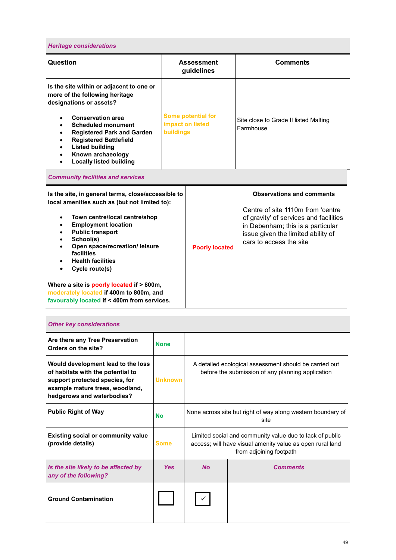#### *Heritage considerations*

| Question                                                                                                                                                                                                                                                                                                                   | <b>Assessment</b><br>guidelines                                   |                       | <b>Comments</b>                                                                                                                                                                                                       |
|----------------------------------------------------------------------------------------------------------------------------------------------------------------------------------------------------------------------------------------------------------------------------------------------------------------------------|-------------------------------------------------------------------|-----------------------|-----------------------------------------------------------------------------------------------------------------------------------------------------------------------------------------------------------------------|
| Is the site within or adjacent to one or<br>more of the following heritage<br>designations or assets?<br><b>Conservation area</b><br><b>Scheduled monument</b><br><b>Registered Park and Garden</b><br><b>Registered Battlefield</b><br><b>Listed building</b><br>Known archaeology<br><b>Locally listed building</b>      | <b>Some potential for</b><br>impact on listed<br><b>buildings</b> |                       | Site close to Grade II listed Malting<br>Farmhouse                                                                                                                                                                    |
| <b>Community facilities and services</b>                                                                                                                                                                                                                                                                                   |                                                                   |                       |                                                                                                                                                                                                                       |
| Is the site, in general terms, close/accessible to<br>local amenities such as (but not limited to):<br>Town centre/local centre/shop<br>٠<br><b>Employment location</b><br>$\bullet$<br><b>Public transport</b><br>School(s)<br>Open space/recreation/ leisure<br>facilities<br><b>Health facilities</b><br>Cycle route(s) |                                                                   | <b>Poorly located</b> | <b>Observations and comments</b><br>Centre of site 1110m from 'centre<br>of gravity' of services and facilities<br>in Debenham; this is a particular<br>issue given the limited ability of<br>cars to access the site |
| Where a site is poorly located if > 800m,<br>moderately located if 400m to 800m, and<br>favourably located if < 400m from services.                                                                                                                                                                                        |                                                                   |                       |                                                                                                                                                                                                                       |

#### *Other key considerations*

| Are there any Tree Preservation<br>Orders on the site?                                                                                                                     | <b>None</b>    |                                                                                                                                                  |                 |  |
|----------------------------------------------------------------------------------------------------------------------------------------------------------------------------|----------------|--------------------------------------------------------------------------------------------------------------------------------------------------|-----------------|--|
| Would development lead to the loss<br>of habitats with the potential to<br>support protected species, for<br>example mature trees, woodland,<br>hedgerows and waterbodies? | <b>Unknown</b> | A detailed ecological assessment should be carried out<br>before the submission of any planning application                                      |                 |  |
| <b>Public Right of Way</b>                                                                                                                                                 | <b>No</b>      | None across site but right of way along western boundary of<br>site                                                                              |                 |  |
| <b>Existing social or community value</b><br>(provide details)                                                                                                             | <b>Some</b>    | Limited social and community value due to lack of public<br>access; will have visual amenity value as open rural land<br>from adjoining footpath |                 |  |
| Is the site likely to be affected by<br>any of the following?                                                                                                              | <b>Yes</b>     | <b>No</b>                                                                                                                                        | <b>Comments</b> |  |
| <b>Ground Contamination</b>                                                                                                                                                |                |                                                                                                                                                  |                 |  |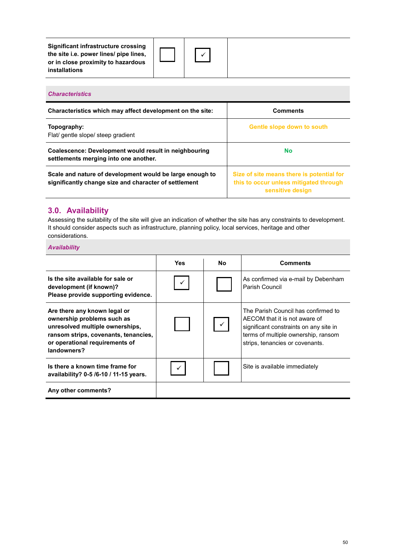**Significant infrastructure crossing the site i.e. power lines/ pipe lines, or in close proximity to hazardous installations**



| <b>Characteristics</b>                                                                                            |                                                                                                         |
|-------------------------------------------------------------------------------------------------------------------|---------------------------------------------------------------------------------------------------------|
| Characteristics which may affect development on the site:                                                         | <b>Comments</b>                                                                                         |
| Topography:<br>Flat/ gentle slope/ steep gradient                                                                 | <b>Gentle slope down to south</b>                                                                       |
| Coalescence: Development would result in neighbouring<br>settlements merging into one another.                    | <b>No</b>                                                                                               |
| Scale and nature of development would be large enough to<br>significantly change size and character of settlement | Size of site means there is potential for<br>this to occur unless mitigated through<br>sensitive design |

## **3.0. Availability**

Assessing the suitability of the site will give an indication of whether the site has any constraints to development. It should consider aspects such as infrastructure, planning policy, local services, heritage and other considerations.

#### *Availability*

|                                                                                                                                                                                        | <b>Yes</b> | <b>No</b> | <b>Comments</b>                                                                                                                                                                          |
|----------------------------------------------------------------------------------------------------------------------------------------------------------------------------------------|------------|-----------|------------------------------------------------------------------------------------------------------------------------------------------------------------------------------------------|
| Is the site available for sale or<br>development (if known)?<br>Please provide supporting evidence.                                                                                    |            |           | As confirmed via e-mail by Debenham<br>Parish Council                                                                                                                                    |
| Are there any known legal or<br>ownership problems such as<br>unresolved multiple ownerships,<br>ransom strips, covenants, tenancies,<br>or operational requirements of<br>landowners? |            |           | The Parish Council has confirmed to<br>AECOM that it is not aware of<br>significant constraints on any site in<br>terms of multiple ownership, ransom<br>strips, tenancies or covenants. |
| Is there a known time frame for<br>availability? 0-5 /6-10 / 11-15 years.                                                                                                              |            |           | Site is available immediately                                                                                                                                                            |
| Any other comments?                                                                                                                                                                    |            |           |                                                                                                                                                                                          |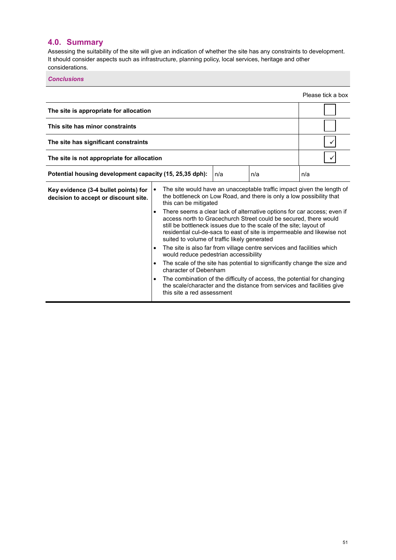## **4.0. Summary**

Assessing the suitability of the site will give an indication of whether the site has any constraints to development. It should consider aspects such as infrastructure, planning policy, local services, heritage and other considerations.

#### *Conclusions*

|                                                                              |                                                                                             |                                                                                                                                                                                                                                                                                                                                                                                                                                                                                                                                                                                                                                                                                                                                                                                                                                                                                                      |     | Please tick a box |
|------------------------------------------------------------------------------|---------------------------------------------------------------------------------------------|------------------------------------------------------------------------------------------------------------------------------------------------------------------------------------------------------------------------------------------------------------------------------------------------------------------------------------------------------------------------------------------------------------------------------------------------------------------------------------------------------------------------------------------------------------------------------------------------------------------------------------------------------------------------------------------------------------------------------------------------------------------------------------------------------------------------------------------------------------------------------------------------------|-----|-------------------|
| The site is appropriate for allocation                                       |                                                                                             |                                                                                                                                                                                                                                                                                                                                                                                                                                                                                                                                                                                                                                                                                                                                                                                                                                                                                                      |     |                   |
| This site has minor constraints                                              |                                                                                             |                                                                                                                                                                                                                                                                                                                                                                                                                                                                                                                                                                                                                                                                                                                                                                                                                                                                                                      |     |                   |
| The site has significant constraints                                         |                                                                                             |                                                                                                                                                                                                                                                                                                                                                                                                                                                                                                                                                                                                                                                                                                                                                                                                                                                                                                      |     |                   |
| The site is not appropriate for allocation                                   |                                                                                             |                                                                                                                                                                                                                                                                                                                                                                                                                                                                                                                                                                                                                                                                                                                                                                                                                                                                                                      |     |                   |
| Potential housing development capacity (15, 25,35 dph):                      |                                                                                             | n/a                                                                                                                                                                                                                                                                                                                                                                                                                                                                                                                                                                                                                                                                                                                                                                                                                                                                                                  | n/a | n/a               |
| Key evidence (3-4 bullet points) for<br>decision to accept or discount site. | $\bullet$<br>$\bullet$<br>$\bullet$<br>$\bullet$<br>$\bullet$<br>this site a red assessment | The site would have an unacceptable traffic impact given the length of<br>the bottleneck on Low Road, and there is only a low possibility that<br>this can be mitigated<br>There seems a clear lack of alternative options for car access; even if<br>access north to Gracechurch Street could be secured, there would<br>still be bottleneck issues due to the scale of the site; layout of<br>residential cul-de-sacs to east of site is impermeable and likewise not<br>suited to volume of traffic likely generated<br>The site is also far from village centre services and facilities which<br>would reduce pedestrian accessibility<br>The scale of the site has potential to significantly change the size and<br>character of Debenham<br>The combination of the difficulty of access, the potential for changing<br>the scale/character and the distance from services and facilities give |     |                   |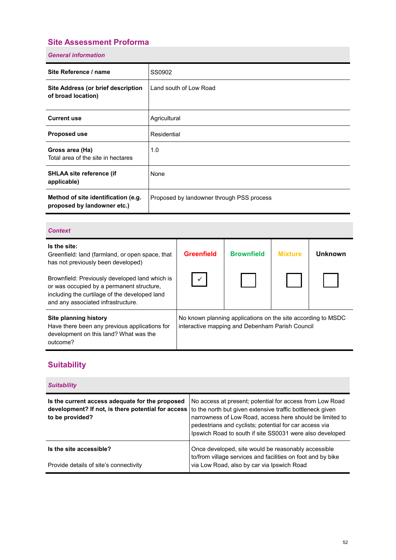# **Site Assessment Proforma**

#### *General information*

| Site Reference / name                                              | SS0902                                    |
|--------------------------------------------------------------------|-------------------------------------------|
| <b>Site Address (or brief description</b><br>of broad location)    | Land south of Low Road                    |
| <b>Current use</b>                                                 | Agricultural                              |
| <b>Proposed use</b>                                                | Residential                               |
| Gross area (Ha)<br>Total area of the site in hectares              | 1.0                                       |
| <b>SHLAA site reference (if</b><br>applicable)                     | None                                      |
| Method of site identification (e.g.<br>proposed by landowner etc.) | Proposed by landowner through PSS process |

#### *Context*

| Is the site:<br>Greenfield: land (farmland, or open space, that<br>has not previously been developed)                                                                              | <b>Greenfield</b>                                                                                               | <b>Brownfield</b> | <b>Mixture</b> | <b>Unknown</b> |
|------------------------------------------------------------------------------------------------------------------------------------------------------------------------------------|-----------------------------------------------------------------------------------------------------------------|-------------------|----------------|----------------|
| Brownfield: Previously developed land which is<br>or was occupied by a permanent structure,<br>including the curtilage of the developed land<br>and any associated infrastructure. |                                                                                                                 |                   |                |                |
| Site planning history<br>Have there been any previous applications for<br>development on this land? What was the<br>outcome?                                                       | No known planning applications on the site according to MSDC<br>interactive mapping and Debenham Parish Council |                   |                |                |

# **Suitability**

| <b>Suitability</b>                                                                                                       |                                                                                                                                                                                                                                                                                                         |
|--------------------------------------------------------------------------------------------------------------------------|---------------------------------------------------------------------------------------------------------------------------------------------------------------------------------------------------------------------------------------------------------------------------------------------------------|
| Is the current access adequate for the proposed<br>development? If not, is there potential for access<br>to be provided? | No access at present; potential for access from Low Road<br>to the north but given extensive traffic bottleneck given<br>narrowness of Low Road, access here should be limited to<br>pedestrians and cyclists; potential for car access via<br>Ipswich Road to south if site SS0031 were also developed |
| Is the site accessible?                                                                                                  | Once developed, site would be reasonably accessible<br>to/from village services and facilities on foot and by bike                                                                                                                                                                                      |
| Provide details of site's connectivity                                                                                   | via Low Road, also by car via Ipswich Road                                                                                                                                                                                                                                                              |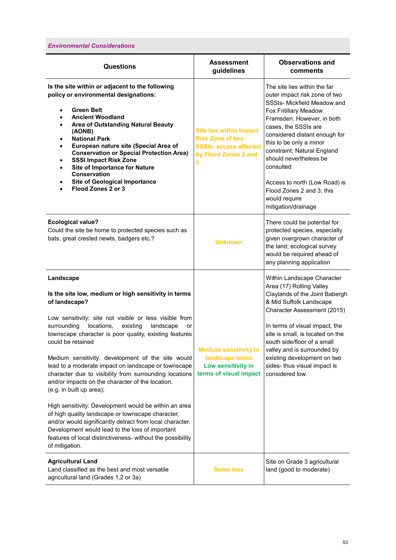#### *Environmental Considerations*

| <b>Questions</b>                                                                                                                                                                                                                                                                                                                                                                                                                                                                                                                                                                                                                                                                                                                                                                                                                                           | Assessment<br>guidelines                                                                                                | <b>Observations and</b><br>comments                                                                                                                                                                                                                                                                                                                                                                                 |
|------------------------------------------------------------------------------------------------------------------------------------------------------------------------------------------------------------------------------------------------------------------------------------------------------------------------------------------------------------------------------------------------------------------------------------------------------------------------------------------------------------------------------------------------------------------------------------------------------------------------------------------------------------------------------------------------------------------------------------------------------------------------------------------------------------------------------------------------------------|-------------------------------------------------------------------------------------------------------------------------|---------------------------------------------------------------------------------------------------------------------------------------------------------------------------------------------------------------------------------------------------------------------------------------------------------------------------------------------------------------------------------------------------------------------|
| Is the site within or adjacent to the following<br>policy or environmental designations:<br><b>Green Belt</b><br><b>Ancient Woodland</b><br>Area of Outstanding Natural Beauty<br>(AONB)<br><b>National Park</b><br>European nature site (Special Area of<br><b>Conservation or Special Protection Area)</b><br><b>SSSI Impact Risk Zone</b><br><b>Site of Importance for Nature</b><br><b>Conservation</b><br><b>Site of Geological Importance</b><br>٠<br>Flood Zones 2 or 3                                                                                                                                                                                                                                                                                                                                                                             | <b>Site lies within Impact</b><br><b>Risk Zone of two</b><br><b>SSSIs; access affected</b><br>by Flood Zones 2 and<br>3 | The site lies within the far<br>outer impact risk zone of two<br>SSSIs- Mickfield Meadow and<br>Fox Fritillary Meadow<br>Framsden. However, in both<br>cases, the SSSIs are<br>considered distant enough for<br>this to be only a minor<br>constraint; Natural England<br>should nevertheless be<br>consulted<br>Access to north (Low Road) is<br>Flood Zones 2 and 3; this<br>would require<br>mitigation/drainage |
| <b>Ecological value?</b><br>Could the site be home to protected species such as<br>bats, great crested newts, badgers etc.?                                                                                                                                                                                                                                                                                                                                                                                                                                                                                                                                                                                                                                                                                                                                | <b>Unknown</b>                                                                                                          | There could be potential for<br>protected species, especially<br>given overgrown character of<br>the land; ecological survey<br>would be required ahead of<br>any planning application                                                                                                                                                                                                                              |
| Landscape<br>Is the site low, medium or high sensitivity in terms<br>of landscape?<br>Low sensitivity: site not visible or less visible from<br>locations.<br>surrounding<br>existing<br>landscape<br>or<br>townscape character is poor quality, existing features<br>could be retained<br>Medium sensitivity: development of the site would<br>lead to a moderate impact on landscape or townscape<br>character due to visibility from surrounding locations<br>and/or impacts on the character of the location.<br>(e.g. in built up area);<br>High sensitivity: Development would be within an area<br>of high quality landscape or townscape character,<br>and/or would significantly detract from local character.<br>Development would lead to the loss of important<br>features of local distinctiveness- without the possibility<br>of mitigation. | <b>Medium sensitivity in</b><br>landscape terms<br>Low sensitivity in<br>terms of visual impact                         | Within Landscape Character<br>Area (17) Rolling Valley<br>Claylands of the Joint Babergh<br>& Mid Suffolk Landscape<br>Character Assessment (2015)<br>In terms of visual impact, the<br>site is small, is located on the<br>south side/floor of a small<br>valley and is surrounded by<br>existing development on two<br>sides- thus visual impact is<br>considered low.                                            |
| <b>Agricultural Land</b><br>Land classified as the best and most versatile<br>agricultural land (Grades 1,2 or 3a)                                                                                                                                                                                                                                                                                                                                                                                                                                                                                                                                                                                                                                                                                                                                         | <b>Some loss</b>                                                                                                        | Site on Grade 3 agricultural<br>land (good to moderate)                                                                                                                                                                                                                                                                                                                                                             |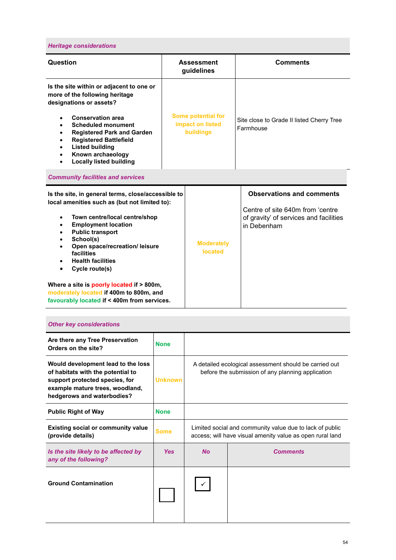#### *Heritage considerations*

| Question                                                                                                                                                                                                                                                                                                              |                                                                   | <b>Assessment</b>            | <b>Comments</b>                                                                                                               |  |  |
|-----------------------------------------------------------------------------------------------------------------------------------------------------------------------------------------------------------------------------------------------------------------------------------------------------------------------|-------------------------------------------------------------------|------------------------------|-------------------------------------------------------------------------------------------------------------------------------|--|--|
|                                                                                                                                                                                                                                                                                                                       | guidelines                                                        |                              |                                                                                                                               |  |  |
| Is the site within or adjacent to one or<br>more of the following heritage<br>designations or assets?                                                                                                                                                                                                                 |                                                                   |                              |                                                                                                                               |  |  |
| <b>Conservation area</b><br><b>Scheduled monument</b><br><b>Registered Park and Garden</b><br><b>Registered Battlefield</b><br><b>Listed building</b><br>Known archaeology<br><b>Locally listed building</b><br>$\bullet$                                                                                             | Some potential for<br><b>impact on listed</b><br><b>buildings</b> |                              | Site close to Grade II listed Cherry Tree<br>Farmhouse                                                                        |  |  |
| <b>Community facilities and services</b>                                                                                                                                                                                                                                                                              |                                                                   |                              |                                                                                                                               |  |  |
| Is the site, in general terms, close/accessible to<br>local amenities such as (but not limited to):<br>Town centre/local centre/shop<br>$\bullet$<br><b>Employment location</b><br><b>Public transport</b><br>School(s)<br>Open space/recreation/ leisure<br>facilities<br><b>Health facilities</b><br>Cycle route(s) |                                                                   | <b>Moderately</b><br>located | <b>Observations and comments</b><br>Centre of site 640m from 'centre<br>of gravity' of services and facilities<br>in Debenham |  |  |
| Where a site is poorly located if > 800m,<br>moderately located if 400m to 800m, and<br>favourably located if < 400m from services.                                                                                                                                                                                   |                                                                   |                              |                                                                                                                               |  |  |

#### *Other key considerations*

| Are there any Tree Preservation<br>Orders on the site?                                                                                                                     | <b>None</b>    |                                                                                                                       |  |  |
|----------------------------------------------------------------------------------------------------------------------------------------------------------------------------|----------------|-----------------------------------------------------------------------------------------------------------------------|--|--|
| Would development lead to the loss<br>of habitats with the potential to<br>support protected species, for<br>example mature trees, woodland,<br>hedgerows and waterbodies? | <b>Unknown</b> | A detailed ecological assessment should be carried out<br>before the submission of any planning application           |  |  |
| <b>Public Right of Way</b>                                                                                                                                                 | <b>None</b>    |                                                                                                                       |  |  |
| <b>Existing social or community value</b><br>(provide details)                                                                                                             | <b>Some</b>    | Limited social and community value due to lack of public<br>access; will have visual amenity value as open rural land |  |  |
| Is the site likely to be affected by<br>any of the following?                                                                                                              | <b>Yes</b>     | <b>No</b><br><b>Comments</b>                                                                                          |  |  |
| <b>Ground Contamination</b>                                                                                                                                                |                |                                                                                                                       |  |  |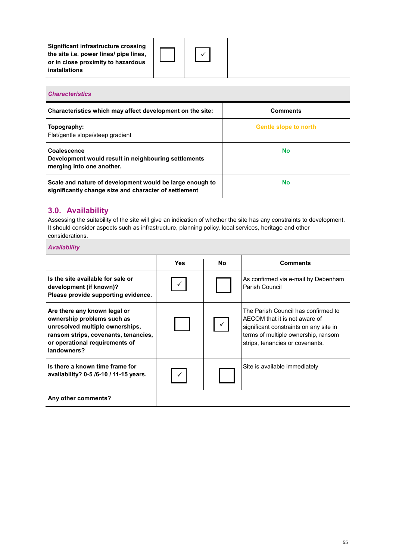**Significant infrastructure crossing the site i.e. power lines/ pipe lines, or in close proximity to hazardous installations**



| <b>Characteristics</b>                                                                                            |                              |  |  |  |  |
|-------------------------------------------------------------------------------------------------------------------|------------------------------|--|--|--|--|
| Characteristics which may affect development on the site:                                                         | <b>Comments</b>              |  |  |  |  |
| Topography:<br>Flat/gentle slope/steep gradient                                                                   | <b>Gentle slope to north</b> |  |  |  |  |
| Coalescence<br>Development would result in neighbouring settlements<br>merging into one another.                  | <b>No</b>                    |  |  |  |  |
| Scale and nature of development would be large enough to<br>significantly change size and character of settlement | <b>No</b>                    |  |  |  |  |

## **3.0. Availability**

Assessing the suitability of the site will give an indication of whether the site has any constraints to development. It should consider aspects such as infrastructure, planning policy, local services, heritage and other considerations.

#### *Availability*

|                                                                                                                                                                                        | <b>Yes</b> | <b>No</b> | <b>Comments</b>                                                                                                                                                                          |  |
|----------------------------------------------------------------------------------------------------------------------------------------------------------------------------------------|------------|-----------|------------------------------------------------------------------------------------------------------------------------------------------------------------------------------------------|--|
| Is the site available for sale or<br>development (if known)?<br>Please provide supporting evidence.                                                                                    |            |           | As confirmed via e-mail by Debenham<br>Parish Council                                                                                                                                    |  |
| Are there any known legal or<br>ownership problems such as<br>unresolved multiple ownerships,<br>ransom strips, covenants, tenancies,<br>or operational requirements of<br>landowners? |            |           | The Parish Council has confirmed to<br>AECOM that it is not aware of<br>significant constraints on any site in<br>terms of multiple ownership, ransom<br>strips, tenancies or covenants. |  |
| Is there a known time frame for<br>availability? 0-5 /6-10 / 11-15 years.                                                                                                              |            |           | Site is available immediately                                                                                                                                                            |  |
| Any other comments?                                                                                                                                                                    |            |           |                                                                                                                                                                                          |  |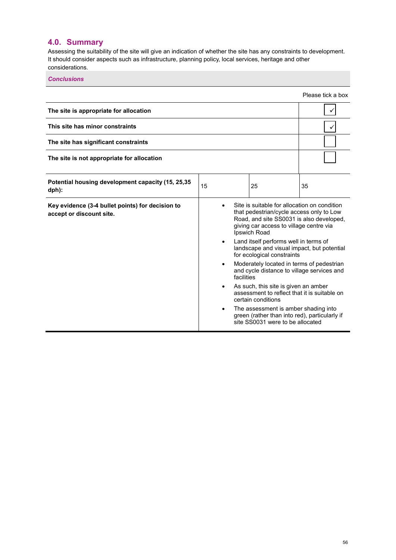## **4.0. Summary**

Assessing the suitability of the site will give an indication of whether the site has any constraints to development. It should consider aspects such as infrastructure, planning policy, local services, heritage and other considerations.

#### *Conclusions*

|                                                                              |                                                  |                                                                                                                                                                                                                                                                                                                                                                                                                                                                                                                                                                                                                                                                          | Please tick a box |  |
|------------------------------------------------------------------------------|--------------------------------------------------|--------------------------------------------------------------------------------------------------------------------------------------------------------------------------------------------------------------------------------------------------------------------------------------------------------------------------------------------------------------------------------------------------------------------------------------------------------------------------------------------------------------------------------------------------------------------------------------------------------------------------------------------------------------------------|-------------------|--|
| The site is appropriate for allocation                                       |                                                  |                                                                                                                                                                                                                                                                                                                                                                                                                                                                                                                                                                                                                                                                          |                   |  |
| This site has minor constraints                                              |                                                  |                                                                                                                                                                                                                                                                                                                                                                                                                                                                                                                                                                                                                                                                          |                   |  |
| The site has significant constraints                                         |                                                  |                                                                                                                                                                                                                                                                                                                                                                                                                                                                                                                                                                                                                                                                          |                   |  |
| The site is not appropriate for allocation                                   |                                                  |                                                                                                                                                                                                                                                                                                                                                                                                                                                                                                                                                                                                                                                                          |                   |  |
| Potential housing development capacity (15, 25,35)<br>dph):                  | 15                                               | 25                                                                                                                                                                                                                                                                                                                                                                                                                                                                                                                                                                                                                                                                       | 35                |  |
| Key evidence (3-4 bullet points) for decision to<br>accept or discount site. | $\bullet$<br>$\bullet$<br>$\bullet$<br>$\bullet$ | Site is suitable for allocation on condition<br>that pedestrian/cycle access only to Low<br>Road, and site SS0031 is also developed,<br>giving car access to village centre via<br>Ipswich Road<br>Land itself performs well in terms of<br>landscape and visual impact, but potential<br>for ecological constraints<br>Moderately located in terms of pedestrian<br>and cycle distance to village services and<br>facilities<br>As such, this site is given an amber<br>assessment to reflect that it is suitable on<br>certain conditions<br>The assessment is amber shading into<br>green (rather than into red), particularly if<br>site SS0031 were to be allocated |                   |  |